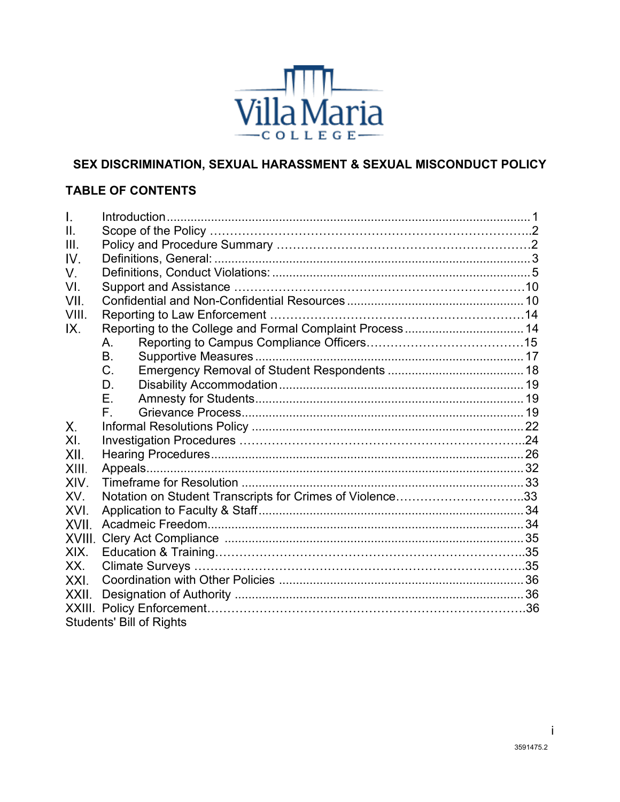

## **SEX DISCRIMINATION, SEXUAL HARASSMENT & SEXUAL MISCONDUCT POLICY**

## **TABLE OF CONTENTS**

| $\overline{L}$ |                                                          |  |
|----------------|----------------------------------------------------------|--|
| II.            |                                                          |  |
| III.           |                                                          |  |
| IV.            |                                                          |  |
| V.             |                                                          |  |
| VI.            |                                                          |  |
| VII.           |                                                          |  |
| VIII.          |                                                          |  |
| IX.            | Reporting to the College and Formal Complaint Process 14 |  |
|                | А.                                                       |  |
|                | B.                                                       |  |
|                | C.                                                       |  |
|                | D.                                                       |  |
|                | Ε.                                                       |  |
|                | F.                                                       |  |
| Χ.             |                                                          |  |
| XI.            |                                                          |  |
| XII.           |                                                          |  |
| XIII.          |                                                          |  |
| XIV.           |                                                          |  |
| XV.            | Notation on Student Transcripts for Crimes of Violence33 |  |
| XVI.           |                                                          |  |
| XVII.          |                                                          |  |
| XVIII.         |                                                          |  |
| XIX.           |                                                          |  |
| XX.            |                                                          |  |
| XXI.           |                                                          |  |
| XXII.          |                                                          |  |
|                |                                                          |  |
|                | <b>Students' Bill of Rights</b>                          |  |

i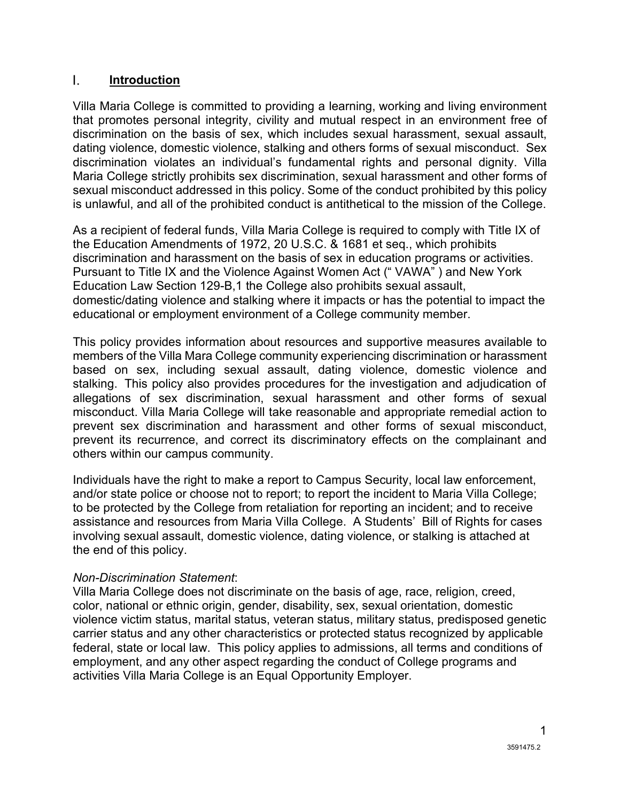#### <span id="page-1-0"></span> $\mathbf{L}$ **Introduction**

Villa Maria College is committed to providing a learning, working and living environment that promotes personal integrity, civility and mutual respect in an environment free of discrimination on the basis of sex, which includes sexual harassment, sexual assault, dating violence, domestic violence, stalking and others forms of sexual misconduct. Sex discrimination violates an individual's fundamental rights and personal dignity. Villa Maria College strictly prohibits sex discrimination, sexual harassment and other forms of sexual misconduct addressed in this policy. Some of the conduct prohibited by this policy is unlawful, and all of the prohibited conduct is antithetical to the mission of the College.

As a recipient of federal funds, Villa Maria College is required to comply with Title IX of the Education Amendments of 1972, 20 U.S.C. & 1681 et seq., which prohibits discrimination and harassment on the basis of sex in education programs or activities. Pursuant to Title IX and the Violence Against Women Act (" VAWA" ) and New York Education Law Section 129-B,1 the College also prohibits sexual assault, domestic/dating violence and stalking where it impacts or has the potential to impact the educational or employment environment of a College community member.

This policy provides information about resources and supportive measures available to members of the Villa Mara College community experiencing discrimination or harassment based on sex, including sexual assault, dating violence, domestic violence and stalking. This policy also provides procedures for the investigation and adjudication of allegations of sex discrimination, sexual harassment and other forms of sexual misconduct. Villa Maria College will take reasonable and appropriate remedial action to prevent sex discrimination and harassment and other forms of sexual misconduct, prevent its recurrence, and correct its discriminatory effects on the complainant and others within our campus community.

Individuals have the right to make a report to Campus Security, local law enforcement, and/or state police or choose not to report; to report the incident to Maria Villa College; to be protected by the College from retaliation for reporting an incident; and to receive assistance and resources from Maria Villa College. A Students' Bill of Rights for cases involving sexual assault, domestic violence, dating violence, or stalking is attached at the end of this policy.

#### *Non-Discrimination Statement*:

Villa Maria College does not discriminate on the basis of age, race, religion, creed, color, national or ethnic origin, gender, disability, sex, sexual orientation, domestic violence victim status, marital status, veteran status, military status, predisposed genetic carrier status and any other characteristics or protected status recognized by applicable federal, state or local law. This policy applies to admissions, all terms and conditions of employment, and any other aspect regarding the conduct of College programs and activities Villa Maria College is an Equal Opportunity Employer.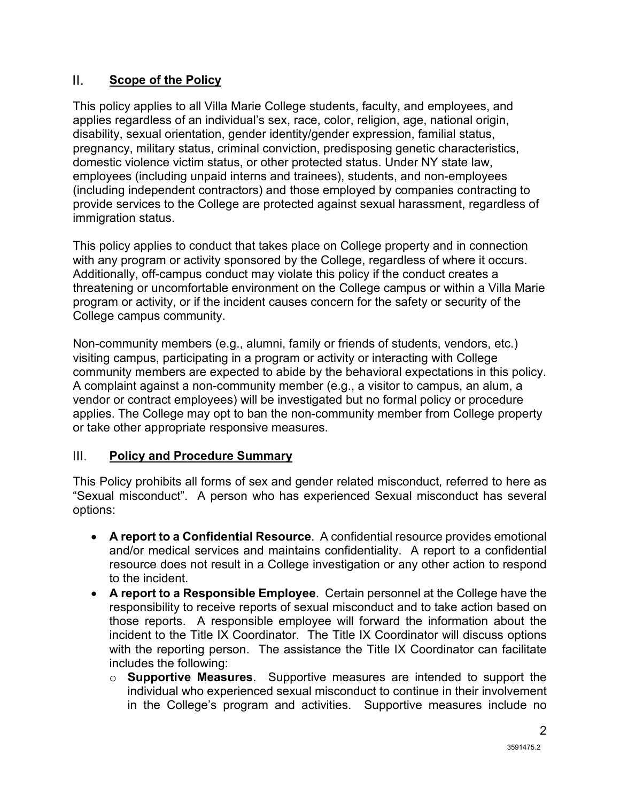#### $\Pi$ . **Scope of the Policy**

This policy applies to all Villa Marie College students, faculty, and employees, and applies regardless of an individual's sex, race, color, religion, age, national origin, disability, sexual orientation, gender identity/gender expression, familial status, pregnancy, military status, criminal conviction, predisposing genetic characteristics, domestic violence victim status, or other protected status. Under NY state law, employees (including unpaid interns and trainees), students, and non-employees (including independent contractors) and those employed by companies contracting to provide services to the College are protected against sexual harassment, regardless of immigration status.

This policy applies to conduct that takes place on College property and in connection with any program or activity sponsored by the College, regardless of where it occurs. Additionally, off-campus conduct may violate this policy if the conduct creates a threatening or uncomfortable environment on the College campus or within a Villa Marie program or activity, or if the incident causes concern for the safety or security of the College campus community.

Non-community members (e.g., alumni, family or friends of students, vendors, etc.) visiting campus, participating in a program or activity or interacting with College community members are expected to abide by the behavioral expectations in this policy. A complaint against a non-community member (e.g., a visitor to campus, an alum, a vendor or contract employees) will be investigated but no formal policy or procedure applies. The College may opt to ban the non-community member from College property or take other appropriate responsive measures.

#### $III.$ **Policy and Procedure Summary**

This Policy prohibits all forms of sex and gender related misconduct, referred to here as "Sexual misconduct". A person who has experienced Sexual misconduct has several options:

- **A report to a Confidential Resource**. A confidential resource provides emotional and/or medical services and maintains confidentiality. A report to a confidential resource does not result in a College investigation or any other action to respond to the incident.
- **A report to a Responsible Employee**. Certain personnel at the College have the responsibility to receive reports of sexual misconduct and to take action based on those reports. A responsible employee will forward the information about the incident to the Title IX Coordinator. The Title IX Coordinator will discuss options with the reporting person. The assistance the Title IX Coordinator can facilitate includes the following:
	- o **Supportive Measures**. Supportive measures are intended to support the individual who experienced sexual misconduct to continue in their involvement in the College's program and activities. Supportive measures include no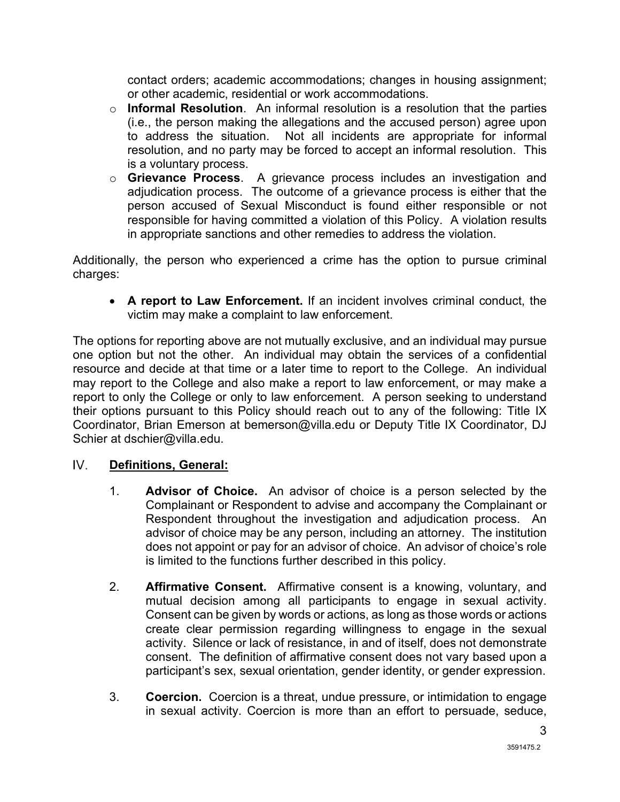contact orders; academic accommodations; changes in housing assignment; or other academic, residential or work accommodations.

- o **Informal Resolution**. An informal resolution is a resolution that the parties (i.e., the person making the allegations and the accused person) agree upon to address the situation. Not all incidents are appropriate for informal resolution, and no party may be forced to accept an informal resolution. This is a voluntary process.
- o **Grievance Process**. A grievance process includes an investigation and adjudication process. The outcome of a grievance process is either that the person accused of Sexual Misconduct is found either responsible or not responsible for having committed a violation of this Policy. A violation results in appropriate sanctions and other remedies to address the violation.

Additionally, the person who experienced a crime has the option to pursue criminal charges:

• **A report to Law Enforcement.** If an incident involves criminal conduct, the victim may make a complaint to law enforcement.

The options for reporting above are not mutually exclusive, and an individual may pursue one option but not the other. An individual may obtain the services of a confidential resource and decide at that time or a later time to report to the College. An individual may report to the College and also make a report to law enforcement, or may make a report to only the College or only to law enforcement. A person seeking to understand their options pursuant to this Policy should reach out to any of the following: Title IX Coordinator, Brian Emerson at bemerson@villa.edu or Deputy Title IX Coordinator, DJ Schier at dschier@villa.edu.

#### <span id="page-3-0"></span> $IV_{-}$ **Definitions, General:**

- 1. **Advisor of Choice.** An advisor of choice is a person selected by the Complainant or Respondent to advise and accompany the Complainant or Respondent throughout the investigation and adjudication process. An advisor of choice may be any person, including an attorney. The institution does not appoint or pay for an advisor of choice. An advisor of choice's role is limited to the functions further described in this policy.
- 2. **Affirmative Consent.** Affirmative consent is a knowing, voluntary, and mutual decision among all participants to engage in sexual activity. Consent can be given by words or actions, as long as those words or actions create clear permission regarding willingness to engage in the sexual activity. Silence or lack of resistance, in and of itself, does not demonstrate consent. The definition of affirmative consent does not vary based upon a participant's sex, sexual orientation, gender identity, or gender expression.
- 3. **Coercion.** Coercion is a threat, undue pressure, or intimidation to engage in sexual activity. Coercion is more than an effort to persuade, seduce,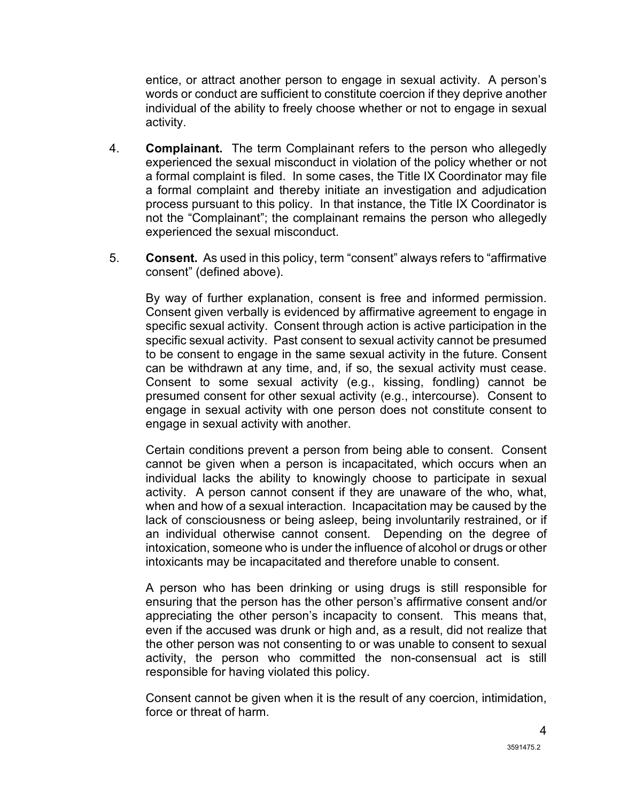entice, or attract another person to engage in sexual activity. A person's words or conduct are sufficient to constitute coercion if they deprive another individual of the ability to freely choose whether or not to engage in sexual activity.

- 4. **Complainant.** The term Complainant refers to the person who allegedly experienced the sexual misconduct in violation of the policy whether or not a formal complaint is filed. In some cases, the Title IX Coordinator may file a formal complaint and thereby initiate an investigation and adjudication process pursuant to this policy. In that instance, the Title IX Coordinator is not the "Complainant"; the complainant remains the person who allegedly experienced the sexual misconduct.
- 5. **Consent.** As used in this policy, term "consent" always refers to "affirmative consent" (defined above).

By way of further explanation, consent is free and informed permission. Consent given verbally is evidenced by affirmative agreement to engage in specific sexual activity. Consent through action is active participation in the specific sexual activity. Past consent to sexual activity cannot be presumed to be consent to engage in the same sexual activity in the future. Consent can be withdrawn at any time, and, if so, the sexual activity must cease. Consent to some sexual activity (e.g., kissing, fondling) cannot be presumed consent for other sexual activity (e.g., intercourse). Consent to engage in sexual activity with one person does not constitute consent to engage in sexual activity with another.

Certain conditions prevent a person from being able to consent. Consent cannot be given when a person is incapacitated, which occurs when an individual lacks the ability to knowingly choose to participate in sexual activity. A person cannot consent if they are unaware of the who, what, when and how of a sexual interaction. Incapacitation may be caused by the lack of consciousness or being asleep, being involuntarily restrained, or if an individual otherwise cannot consent. Depending on the degree of intoxication, someone who is under the influence of alcohol or drugs or other intoxicants may be incapacitated and therefore unable to consent.

A person who has been drinking or using drugs is still responsible for ensuring that the person has the other person's affirmative consent and/or appreciating the other person's incapacity to consent. This means that, even if the accused was drunk or high and, as a result, did not realize that the other person was not consenting to or was unable to consent to sexual activity, the person who committed the non-consensual act is still responsible for having violated this policy.

Consent cannot be given when it is the result of any coercion, intimidation, force or threat of harm.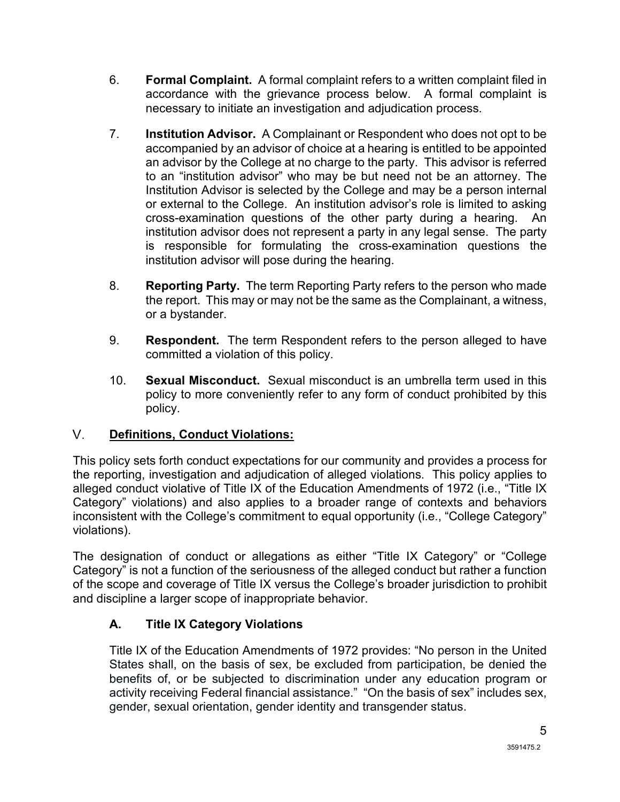- 6. **Formal Complaint.** A formal complaint refers to a written complaint filed in accordance with the grievance process below. A formal complaint is necessary to initiate an investigation and adjudication process.
- 7. **Institution Advisor.** A Complainant or Respondent who does not opt to be accompanied by an advisor of choice at a hearing is entitled to be appointed an advisor by the College at no charge to the party. This advisor is referred to an "institution advisor" who may be but need not be an attorney. The Institution Advisor is selected by the College and may be a person internal or external to the College. An institution advisor's role is limited to asking cross-examination questions of the other party during a hearing. An institution advisor does not represent a party in any legal sense. The party is responsible for formulating the cross-examination questions the institution advisor will pose during the hearing.
- 8. **Reporting Party.** The term Reporting Party refers to the person who made the report. This may or may not be the same as the Complainant, a witness, or a bystander.
- 9. **Respondent.** The term Respondent refers to the person alleged to have committed a violation of this policy.
- 10. **Sexual Misconduct.** Sexual misconduct is an umbrella term used in this policy to more conveniently refer to any form of conduct prohibited by this policy.

#### <span id="page-5-0"></span> $V_{\odot}$ **Definitions, Conduct Violations:**

This policy sets forth conduct expectations for our community and provides a process for the reporting, investigation and adjudication of alleged violations. This policy applies to alleged conduct violative of Title IX of the Education Amendments of 1972 (i.e., "Title IX Category" violations) and also applies to a broader range of contexts and behaviors inconsistent with the College's commitment to equal opportunity (i.e., "College Category" violations).

The designation of conduct or allegations as either "Title IX Category" or "College Category" is not a function of the seriousness of the alleged conduct but rather a function of the scope and coverage of Title IX versus the College's broader jurisdiction to prohibit and discipline a larger scope of inappropriate behavior.

# **A. Title IX Category Violations**

Title IX of the Education Amendments of 1972 provides: "No person in the United States shall, on the basis of sex, be excluded from participation, be denied the benefits of, or be subjected to discrimination under any education program or activity receiving Federal financial assistance." "On the basis of sex" includes sex, gender, sexual orientation, gender identity and transgender status.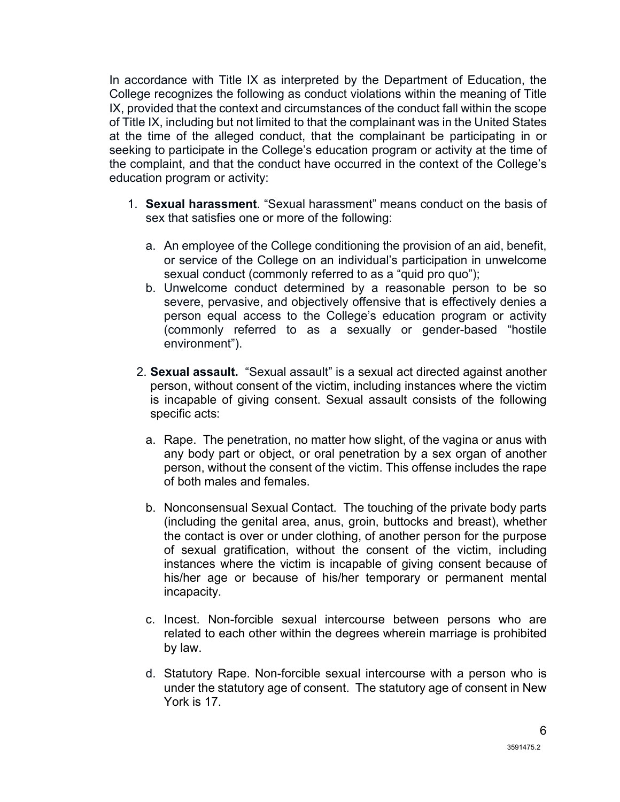In accordance with Title IX as interpreted by the Department of Education, the College recognizes the following as conduct violations within the meaning of Title IX, provided that the context and circumstances of the conduct fall within the scope of Title IX, including but not limited to that the complainant was in the United States at the time of the alleged conduct, that the complainant be participating in or seeking to participate in the College's education program or activity at the time of the complaint, and that the conduct have occurred in the context of the College's education program or activity:

- 1. **Sexual harassment**. "Sexual harassment" means conduct on the basis of sex that satisfies one or more of the following:
	- a. An employee of the College conditioning the provision of an aid, benefit, or service of the College on an individual's participation in unwelcome sexual conduct (commonly referred to as a "quid pro quo");
	- b. Unwelcome conduct determined by a reasonable person to be so severe, pervasive, and objectively offensive that is effectively denies a person equal access to the College's education program or activity (commonly referred to as a sexually or gender-based "hostile environment").
	- 2. **Sexual assault.** "Sexual assault" is a sexual act directed against another person, without consent of the victim, including instances where the victim is incapable of giving consent. Sexual assault consists of the following specific acts:
		- a. Rape. The penetration, no matter how slight, of the vagina or anus with any body part or object, or oral penetration by a sex organ of another person, without the consent of the victim. This offense includes the rape of both males and females.
		- b. Nonconsensual Sexual Contact. The touching of the private body parts (including the genital area, anus, groin, buttocks and breast), whether the contact is over or under clothing, of another person for the purpose of sexual gratification, without the consent of the victim, including instances where the victim is incapable of giving consent because of his/her age or because of his/her temporary or permanent mental incapacity.
		- c. Incest. Non-forcible sexual intercourse between persons who are related to each other within the degrees wherein marriage is prohibited by law.
		- d. Statutory Rape. Non-forcible sexual intercourse with a person who is under the statutory age of consent. The statutory age of consent in New York is 17.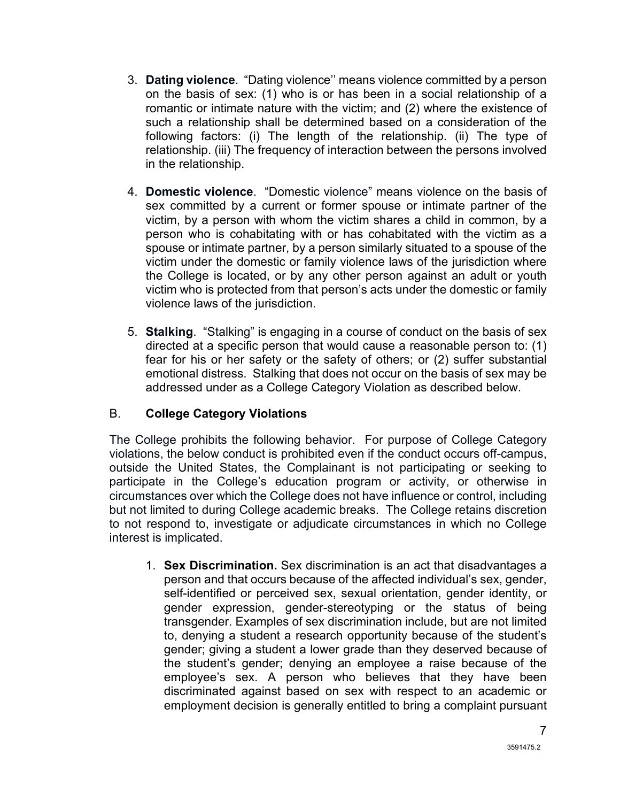- 3. **Dating violence**. "Dating violence'' means violence committed by a person on the basis of sex: (1) who is or has been in a social relationship of a romantic or intimate nature with the victim; and (2) where the existence of such a relationship shall be determined based on a consideration of the following factors: (i) The length of the relationship. (ii) The type of relationship. (iii) The frequency of interaction between the persons involved in the relationship.
- 4. **Domestic violence**. "Domestic violence" means violence on the basis of sex committed by a current or former spouse or intimate partner of the victim, by a person with whom the victim shares a child in common, by a person who is cohabitating with or has cohabitated with the victim as a spouse or intimate partner, by a person similarly situated to a spouse of the victim under the domestic or family violence laws of the jurisdiction where the College is located, or by any other person against an adult or youth victim who is protected from that person's acts under the domestic or family violence laws of the jurisdiction.
- 5. **Stalking**. "Stalking" is engaging in a course of conduct on the basis of sex directed at a specific person that would cause a reasonable person to: (1) fear for his or her safety or the safety of others; or (2) suffer substantial emotional distress. Stalking that does not occur on the basis of sex may be addressed under as a College Category Violation as described below.

### B. **College Category Violations**

The College prohibits the following behavior. For purpose of College Category violations, the below conduct is prohibited even if the conduct occurs off-campus, outside the United States, the Complainant is not participating or seeking to participate in the College's education program or activity, or otherwise in circumstances over which the College does not have influence or control, including but not limited to during College academic breaks. The College retains discretion to not respond to, investigate or adjudicate circumstances in which no College interest is implicated.

1. **Sex Discrimination.** Sex discrimination is an act that disadvantages a person and that occurs because of the affected individual's sex, gender, self-identified or perceived sex, sexual orientation, gender identity, or gender expression, gender-stereotyping or the status of being transgender. Examples of sex discrimination include, but are not limited to, denying a student a research opportunity because of the student's gender; giving a student a lower grade than they deserved because of the student's gender; denying an employee a raise because of the employee's sex. A person who believes that they have been discriminated against based on sex with respect to an academic or employment decision is generally entitled to bring a complaint pursuant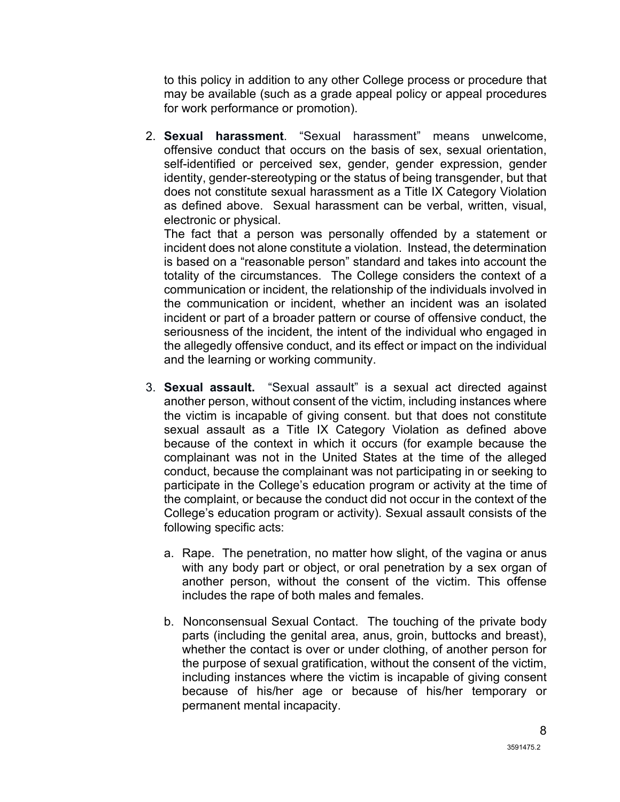to this policy in addition to any other College process or procedure that may be available (such as a grade appeal policy or appeal procedures for work performance or promotion).

2. **Sexual harassment**. "Sexual harassment" means unwelcome, offensive conduct that occurs on the basis of sex, sexual orientation, self-identified or perceived sex, gender, gender expression, gender identity, gender-stereotyping or the status of being transgender, but that does not constitute sexual harassment as a Title IX Category Violation as defined above. Sexual harassment can be verbal, written, visual, electronic or physical.

The fact that a person was personally offended by a statement or incident does not alone constitute a violation. Instead, the determination is based on a "reasonable person" standard and takes into account the totality of the circumstances. The College considers the context of a communication or incident, the relationship of the individuals involved in the communication or incident, whether an incident was an isolated incident or part of a broader pattern or course of offensive conduct, the seriousness of the incident, the intent of the individual who engaged in the allegedly offensive conduct, and its effect or impact on the individual and the learning or working community.

- 3. **Sexual assault.** "Sexual assault" is a sexual act directed against another person, without consent of the victim, including instances where the victim is incapable of giving consent. but that does not constitute sexual assault as a Title IX Category Violation as defined above because of the context in which it occurs (for example because the complainant was not in the United States at the time of the alleged conduct, because the complainant was not participating in or seeking to participate in the College's education program or activity at the time of the complaint, or because the conduct did not occur in the context of the College's education program or activity). Sexual assault consists of the following specific acts:
	- a. Rape. The penetration, no matter how slight, of the vagina or anus with any body part or object, or oral penetration by a sex organ of another person, without the consent of the victim. This offense includes the rape of both males and females.
	- b. Nonconsensual Sexual Contact. The touching of the private body parts (including the genital area, anus, groin, buttocks and breast), whether the contact is over or under clothing, of another person for the purpose of sexual gratification, without the consent of the victim, including instances where the victim is incapable of giving consent because of his/her age or because of his/her temporary or permanent mental incapacity.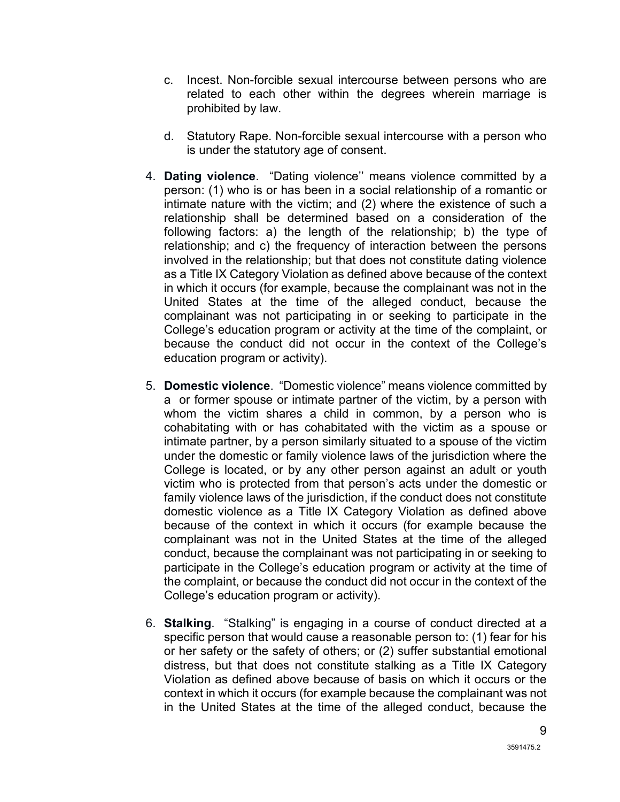- c. Incest. Non-forcible sexual intercourse between persons who are related to each other within the degrees wherein marriage is prohibited by law.
- d. Statutory Rape. Non-forcible sexual intercourse with a person who is under the statutory age of consent.
- 4. **Dating violence**. "Dating violence'' means violence committed by a person: (1) who is or has been in a social relationship of a romantic or intimate nature with the victim; and (2) where the existence of such a relationship shall be determined based on a consideration of the following factors: a) the length of the relationship; b) the type of relationship; and c) the frequency of interaction between the persons involved in the relationship; but that does not constitute dating violence as a Title IX Category Violation as defined above because of the context in which it occurs (for example, because the complainant was not in the United States at the time of the alleged conduct, because the complainant was not participating in or seeking to participate in the College's education program or activity at the time of the complaint, or because the conduct did not occur in the context of the College's education program or activity).
- 5. **Domestic violence**. "Domestic violence" means violence committed by a or former spouse or intimate partner of the victim, by a person with whom the victim shares a child in common, by a person who is cohabitating with or has cohabitated with the victim as a spouse or intimate partner, by a person similarly situated to a spouse of the victim under the domestic or family violence laws of the jurisdiction where the College is located, or by any other person against an adult or youth victim who is protected from that person's acts under the domestic or family violence laws of the jurisdiction, if the conduct does not constitute domestic violence as a Title IX Category Violation as defined above because of the context in which it occurs (for example because the complainant was not in the United States at the time of the alleged conduct, because the complainant was not participating in or seeking to participate in the College's education program or activity at the time of the complaint, or because the conduct did not occur in the context of the College's education program or activity).
- 6. **Stalking**. "Stalking" is engaging in a course of conduct directed at a specific person that would cause a reasonable person to: (1) fear for his or her safety or the safety of others; or (2) suffer substantial emotional distress, but that does not constitute stalking as a Title IX Category Violation as defined above because of basis on which it occurs or the context in which it occurs (for example because the complainant was not in the United States at the time of the alleged conduct, because the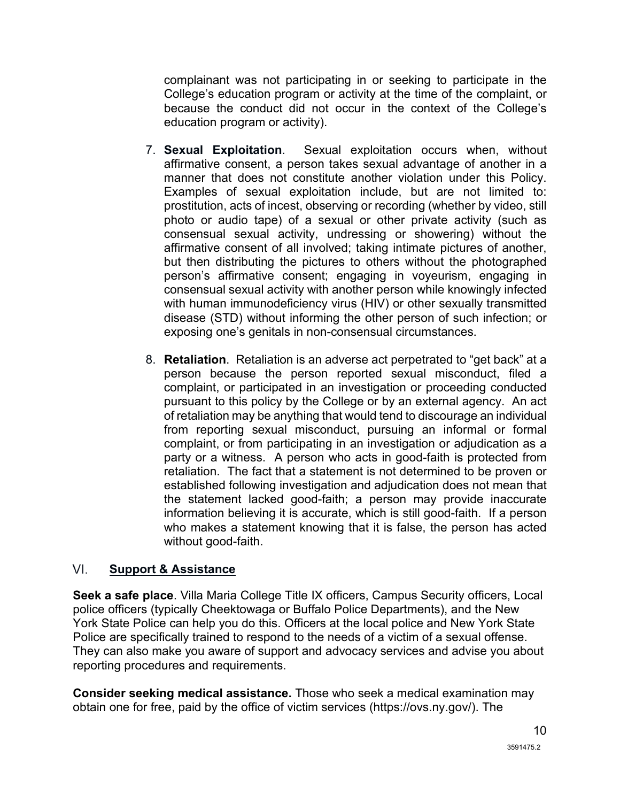complainant was not participating in or seeking to participate in the College's education program or activity at the time of the complaint, or because the conduct did not occur in the context of the College's education program or activity).

- 7. **Sexual Exploitation**. Sexual exploitation occurs when, without affirmative consent, a person takes sexual advantage of another in a manner that does not constitute another violation under this Policy. Examples of sexual exploitation include, but are not limited to: prostitution, acts of incest, observing or recording (whether by video, still photo or audio tape) of a sexual or other private activity (such as consensual sexual activity, undressing or showering) without the affirmative consent of all involved; taking intimate pictures of another, but then distributing the pictures to others without the photographed person's affirmative consent; engaging in voyeurism, engaging in consensual sexual activity with another person while knowingly infected with human immunodeficiency virus (HIV) or other sexually transmitted disease (STD) without informing the other person of such infection; or exposing one's genitals in non-consensual circumstances.
- 8. **Retaliation**. Retaliation is an adverse act perpetrated to "get back" at a person because the person reported sexual misconduct, filed a complaint, or participated in an investigation or proceeding conducted pursuant to this policy by the College or by an external agency. An act of retaliation may be anything that would tend to discourage an individual from reporting sexual misconduct, pursuing an informal or formal complaint, or from participating in an investigation or adjudication as a party or a witness. A person who acts in good-faith is protected from retaliation. The fact that a statement is not determined to be proven or established following investigation and adjudication does not mean that the statement lacked good-faith; a person may provide inaccurate information believing it is accurate, which is still good-faith. If a person who makes a statement knowing that it is false, the person has acted without good-faith.

#### <span id="page-10-0"></span>VI. **Support & Assistance**

**Seek a safe place**. Villa Maria College Title IX officers, Campus Security officers, Local police officers (typically Cheektowaga or Buffalo Police Departments), and the New York State Police can help you do this. Officers at the local police and New York State Police are specifically trained to respond to the needs of a victim of a sexual offense. They can also make you aware of support and advocacy services and advise you about reporting procedures and requirements.

**Consider seeking medical assistance.** Those who seek a medical examination may obtain one for free, paid by the office of victim services (https://ovs.ny.gov/). The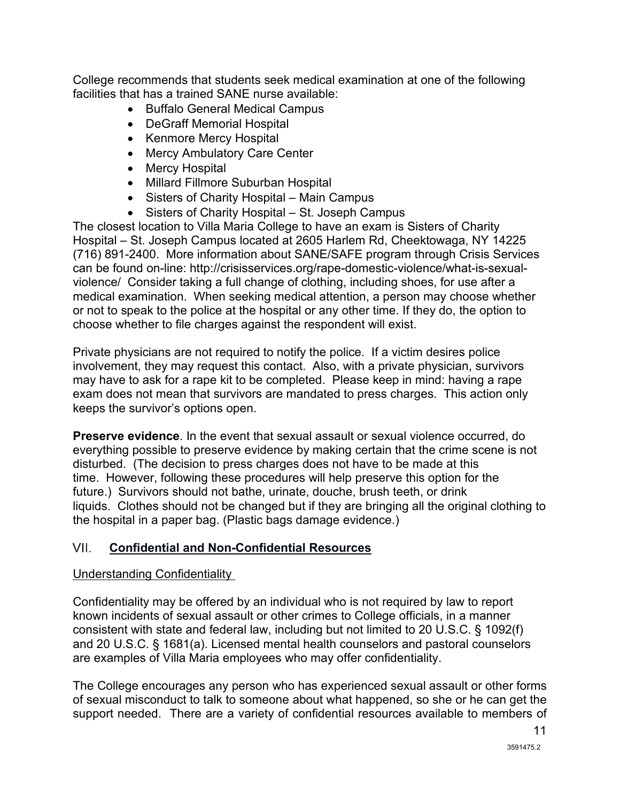College recommends that students seek medical examination at one of the following facilities that has a trained SANE nurse available:

- Buffalo General Medical Campus
- DeGraff Memorial Hospital
- Kenmore Mercy Hospital
- Mercy Ambulatory Care Center
- Mercy Hospital
- Millard Fillmore Suburban Hospital
- Sisters of Charity Hospital Main Campus
- Sisters of Charity Hospital St. Joseph Campus

The closest location to Villa Maria College to have an exam is Sisters of Charity Hospital – St. Joseph Campus located at 2605 Harlem Rd, Cheektowaga, NY 14225 (716) 891-2400. More information about SANE/SAFE program through Crisis Services can be found on-line: http://crisisservices.org/rape-domestic-violence/what-is-sexualviolence/ Consider taking a full change of clothing, including shoes, for use after a medical examination. When seeking medical attention, a person may choose whether or not to speak to the police at the hospital or any other time. If they do, the option to choose whether to file charges against the respondent will exist.

Private physicians are not required to notify the police. If a victim desires police involvement, they may request this contact. Also, with a private physician, survivors may have to ask for a rape kit to be completed. Please keep in mind: having a rape exam does not mean that survivors are mandated to press charges. This action only keeps the survivor's options open.

**Preserve evidence**. In the event that sexual assault or sexual violence occurred, do everything possible to preserve evidence by making certain that the crime scene is not disturbed. (The decision to press charges does not have to be made at this time. However, following these procedures will help preserve this option for the future.) Survivors should not bathe, urinate, douche, brush teeth, or drink liquids. Clothes should not be changed but if they are bringing all the original clothing to the hospital in a paper bag. (Plastic bags damage evidence.)

#### VII. **Confidential and Non-Confidential Resources**

#### Understanding Confidentiality

Confidentiality may be offered by an individual who is not required by law to report known incidents of sexual assault or other crimes to College officials, in a manner consistent with state and federal law, including but not limited to 20 U.S.C. § 1092(f) and 20 U.S.C. § 1681(a). Licensed mental health counselors and pastoral counselors are examples of Villa Maria employees who may offer confidentiality.

The College encourages any person who has experienced sexual assault or other forms of sexual misconduct to talk to someone about what happened, so she or he can get the support needed. There are a variety of confidential resources available to members of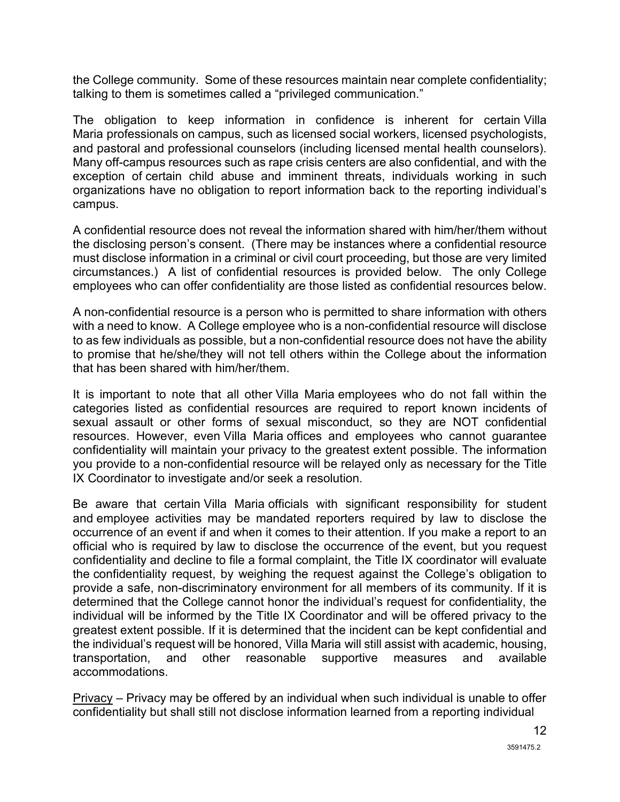the College community. Some of these resources maintain near complete confidentiality; talking to them is sometimes called a "privileged communication."

The obligation to keep information in confidence is inherent for certain Villa Maria professionals on campus, such as licensed social workers, licensed psychologists, and pastoral and professional counselors (including licensed mental health counselors). Many off-campus resources such as rape crisis centers are also confidential, and with the exception of certain child abuse and imminent threats, individuals working in such organizations have no obligation to report information back to the reporting individual's campus.

A confidential resource does not reveal the information shared with him/her/them without the disclosing person's consent. (There may be instances where a confidential resource must disclose information in a criminal or civil court proceeding, but those are very limited circumstances.) A list of confidential resources is provided below. The only College employees who can offer confidentiality are those listed as confidential resources below.

A non-confidential resource is a person who is permitted to share information with others with a need to know. A College employee who is a non-confidential resource will disclose to as few individuals as possible, but a non-confidential resource does not have the ability to promise that he/she/they will not tell others within the College about the information that has been shared with him/her/them.

It is important to note that all other Villa Maria employees who do not fall within the categories listed as confidential resources are required to report known incidents of sexual assault or other forms of sexual misconduct, so they are NOT confidential resources. However, even Villa Maria offices and employees who cannot guarantee confidentiality will maintain your privacy to the greatest extent possible. The information you provide to a non-confidential resource will be relayed only as necessary for the Title IX Coordinator to investigate and/or seek a resolution.

Be aware that certain Villa Maria officials with significant responsibility for student and employee activities may be mandated reporters required by law to disclose the occurrence of an event if and when it comes to their attention. If you make a report to an official who is required by law to disclose the occurrence of the event, but you request confidentiality and decline to file a formal complaint, the Title IX coordinator will evaluate the confidentiality request, by weighing the request against the College's obligation to provide a safe, non-discriminatory environment for all members of its community. If it is determined that the College cannot honor the individual's request for confidentiality, the individual will be informed by the Title IX Coordinator and will be offered privacy to the greatest extent possible. If it is determined that the incident can be kept confidential and the individual's request will be honored, Villa Maria will still assist with academic, housing, and other reasonable supportive measures and available accommodations.

Privacy – Privacy may be offered by an individual when such individual is unable to offer confidentiality but shall still not disclose information learned from a reporting individual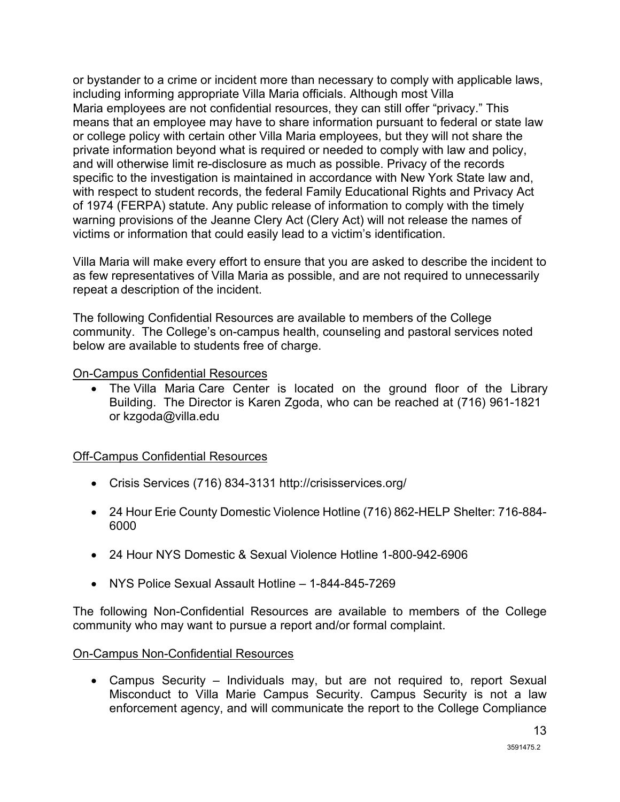or bystander to a crime or incident more than necessary to comply with applicable laws, including informing appropriate Villa Maria officials. Although most Villa Maria employees are not confidential resources, they can still offer "privacy." This means that an employee may have to share information pursuant to federal or state law or college policy with certain other Villa Maria employees, but they will not share the private information beyond what is required or needed to comply with law and policy, and will otherwise limit re-disclosure as much as possible. Privacy of the records specific to the investigation is maintained in accordance with New York State law and, with respect to student records, the federal Family Educational Rights and Privacy Act of 1974 (FERPA) statute. Any public release of information to comply with the timely warning provisions of the Jeanne Clery Act (Clery Act) will not release the names of victims or information that could easily lead to a victim's identification.

Villa Maria will make every effort to ensure that you are asked to describe the incident to as few representatives of Villa Maria as possible, and are not required to unnecessarily repeat a description of the incident.

The following Confidential Resources are available to members of the College community. The College's on-campus health, counseling and pastoral services noted below are available to students free of charge.

On-Campus Confidential Resources

• The Villa Maria Care Center is located on the ground floor of the Library Building. The Director is Karen Zgoda, who can be reached at (716) 961-1821 or kzgoda@villa.edu

Off-Campus Confidential Resources

- Crisis Services (716) 834-3131 http://crisisservices.org/
- 24 Hour Erie County Domestic Violence Hotline (716) 862-HELP Shelter: 716-884- 6000
- 24 Hour NYS Domestic & Sexual Violence Hotline 1-800-942-6906
- NYS Police Sexual Assault Hotline 1-844-845-7269

The following Non-Confidential Resources are available to members of the College community who may want to pursue a report and/or formal complaint.

On-Campus Non-Confidential Resources

• Campus Security – Individuals may, but are not required to, report Sexual Misconduct to Villa Marie Campus Security. Campus Security is not a law enforcement agency, and will communicate the report to the College Compliance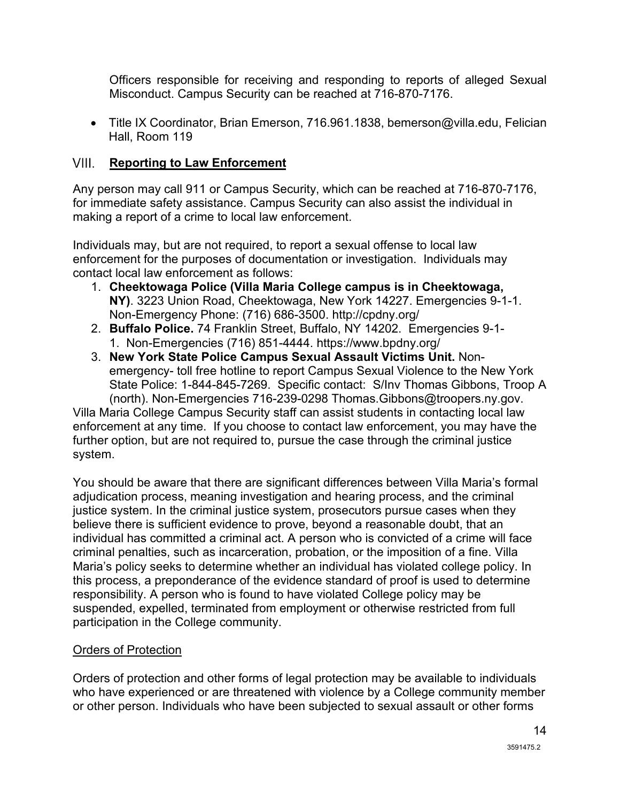Officers responsible for receiving and responding to reports of alleged Sexual Misconduct. Campus Security can be reached at 716-870-7176.

• Title IX Coordinator, Brian Emerson, 716.961.1838, bemerson@villa.edu, Felician Hall, Room 119

#### <span id="page-14-0"></span>VIII. **Reporting to Law Enforcement**

Any person may call 911 or Campus Security, which can be reached at 716-870-7176, for immediate safety assistance. Campus Security can also assist the individual in making a report of a crime to local law enforcement.

Individuals may, but are not required, to report a sexual offense to local law enforcement for the purposes of documentation or investigation. Individuals may contact local law enforcement as follows:

- 1. **Cheektowaga Police (Villa Maria College campus is in Cheektowaga, NY)**. 3223 Union Road, Cheektowaga, New York 14227. Emergencies 9-1-1. Non-Emergency Phone: (716) 686-3500. http://cpdny.org/
- 2. **Buffalo Police.** 74 Franklin Street, Buffalo, NY 14202. Emergencies 9-1- 1. Non-Emergencies (716) 851-4444. https://www.bpdny.org/
- 3. **New York State Police Campus Sexual Assault Victims Unit.** Nonemergency- toll free hotline to report Campus Sexual Violence to the New York State Police: 1-844-845-7269. Specific contact: S/Inv Thomas Gibbons, Troop A (north). Non-Emergencies 716-239-0298 Thomas.Gibbons@troopers.ny.gov.

Villa Maria College Campus Security staff can assist students in contacting local law enforcement at any time. If you choose to contact law enforcement, you may have the further option, but are not required to, pursue the case through the criminal justice system.

You should be aware that there are significant differences between Villa Maria's formal adjudication process, meaning investigation and hearing process, and the criminal justice system. In the criminal justice system, prosecutors pursue cases when they believe there is sufficient evidence to prove, beyond a reasonable doubt, that an individual has committed a criminal act. A person who is convicted of a crime will face criminal penalties, such as incarceration, probation, or the imposition of a fine. Villa Maria's policy seeks to determine whether an individual has violated college policy. In this process, a preponderance of the evidence standard of proof is used to determine responsibility. A person who is found to have violated College policy may be suspended, expelled, terminated from employment or otherwise restricted from full participation in the College community.

#### Orders of Protection

Orders of protection and other forms of legal protection may be available to individuals who have experienced or are threatened with violence by a College community member or other person. Individuals who have been subjected to sexual assault or other forms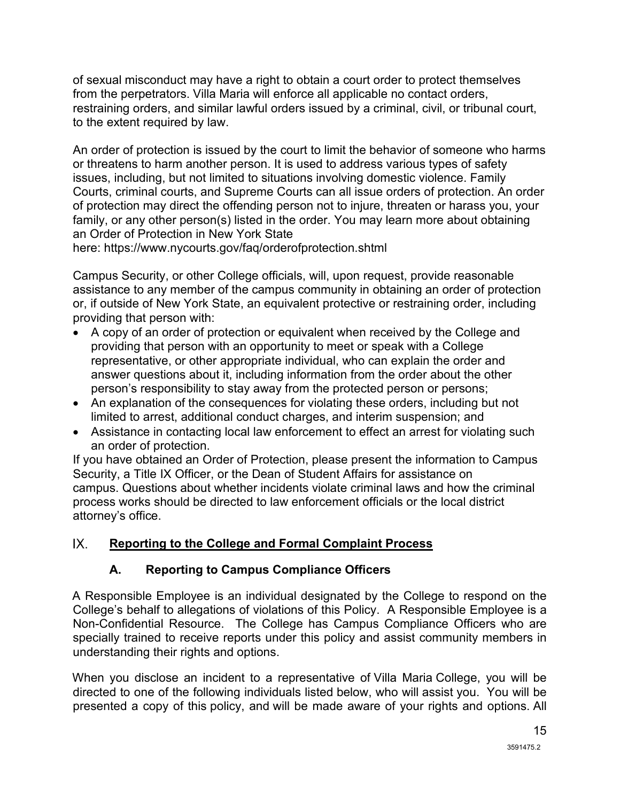of sexual misconduct may have a right to obtain a court order to protect themselves from the perpetrators. Villa Maria will enforce all applicable no contact orders, restraining orders, and similar lawful orders issued by a criminal, civil, or tribunal court, to the extent required by law.

An order of protection is issued by the court to limit the behavior of someone who harms or threatens to harm another person. It is used to address various types of safety issues, including, but not limited to situations involving domestic violence. Family Courts, criminal courts, and Supreme Courts can all issue orders of protection. An order of protection may direct the offending person not to injure, threaten or harass you, your family, or any other person(s) listed in the order. You may learn more about obtaining an Order of Protection in New York State

here: https://www.nycourts.gov/faq/orderofprotection.shtml

Campus Security, or other College officials, will, upon request, provide reasonable assistance to any member of the campus community in obtaining an order of protection or, if outside of New York State, an equivalent protective or restraining order, including providing that person with:

- A copy of an order of protection or equivalent when received by the College and providing that person with an opportunity to meet or speak with a College representative, or other appropriate individual, who can explain the order and answer questions about it, including information from the order about the other person's responsibility to stay away from the protected person or persons;
- An explanation of the consequences for violating these orders, including but not limited to arrest, additional conduct charges, and interim suspension; and
- Assistance in contacting local law enforcement to effect an arrest for violating such an order of protection.

If you have obtained an Order of Protection, please present the information to Campus Security, a Title IX Officer, or the Dean of Student Affairs for assistance on campus. Questions about whether incidents violate criminal laws and how the criminal process works should be directed to law enforcement officials or the local district attorney's office.

#### $IX.$ **Reporting to the College and Formal Complaint Process**

# **A. Reporting to Campus Compliance Officers**

A Responsible Employee is an individual designated by the College to respond on the College's behalf to allegations of violations of this Policy. A Responsible Employee is a Non-Confidential Resource. The College has Campus Compliance Officers who are specially trained to receive reports under this policy and assist community members in understanding their rights and options.

When you disclose an incident to a representative of Villa Maria College, you will be directed to one of the following individuals listed below, who will assist you. You will be presented a copy of this policy, and will be made aware of your rights and options. All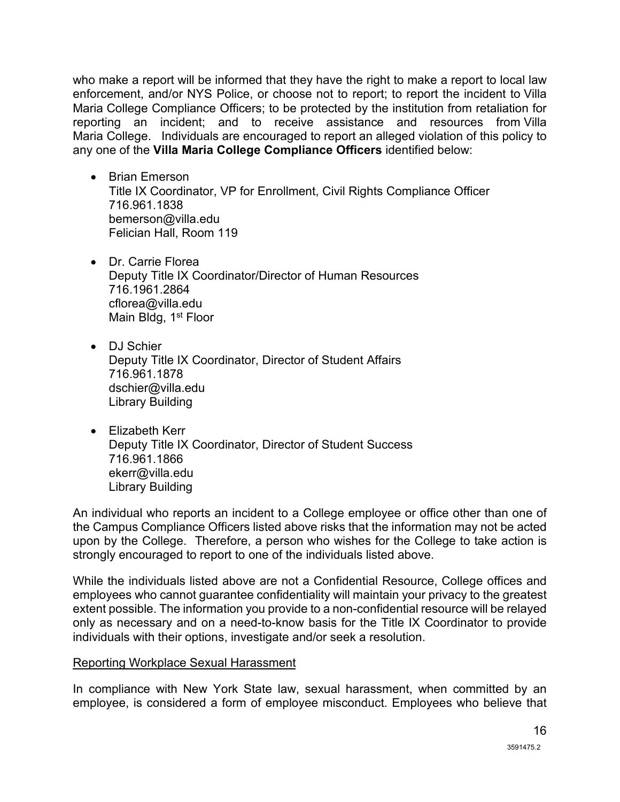who make a report will be informed that they have the right to make a report to local law enforcement, and/or NYS Police, or choose not to report; to report the incident to Villa Maria College Compliance Officers; to be protected by the institution from retaliation for reporting an incident; and to receive assistance and resources from Villa Maria College. Individuals are encouraged to report an alleged violation of this policy to any one of the **Villa Maria College Compliance Officers** identified below:

- Brian Emerson Title IX Coordinator, VP for Enrollment, Civil Rights Compliance Officer 716.961.1838 bemerson@villa.edu Felician Hall, Room 119
- Dr. Carrie Florea Deputy Title IX Coordinator/Director of Human Resources 716.1961.2864 cflorea@villa.edu Main Bldg, 1<sup>st</sup> Floor
- DJ Schier Deputy Title IX Coordinator, Director of Student Affairs 716.961.1878 dschier@villa.edu Library Building
- Elizabeth Kerr Deputy Title IX Coordinator, Director of Student Success 716.961.1866 ekerr@villa.edu Library Building

An individual who reports an incident to a College employee or office other than one of the Campus Compliance Officers listed above risks that the information may not be acted upon by the College. Therefore, a person who wishes for the College to take action is strongly encouraged to report to one of the individuals listed above.

While the individuals listed above are not a Confidential Resource, College offices and employees who cannot guarantee confidentiality will maintain your privacy to the greatest extent possible. The information you provide to a non-confidential resource will be relayed only as necessary and on a need-to-know basis for the Title IX Coordinator to provide individuals with their options, investigate and/or seek a resolution.

#### Reporting Workplace Sexual Harassment

In compliance with New York State law, sexual harassment, when committed by an employee, is considered a form of employee misconduct. Employees who believe that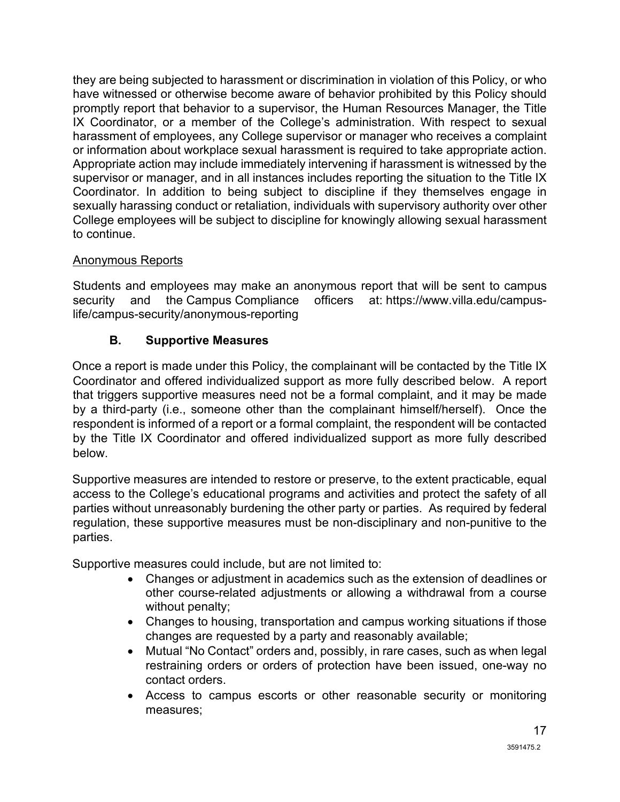they are being subjected to harassment or discrimination in violation of this Policy, or who have witnessed or otherwise become aware of behavior prohibited by this Policy should promptly report that behavior to a supervisor, the Human Resources Manager, the Title IX Coordinator, or a member of the College's administration. With respect to sexual harassment of employees, any College supervisor or manager who receives a complaint or information about workplace sexual harassment is required to take appropriate action. Appropriate action may include immediately intervening if harassment is witnessed by the supervisor or manager, and in all instances includes reporting the situation to the Title IX Coordinator. In addition to being subject to discipline if they themselves engage in sexually harassing conduct or retaliation, individuals with supervisory authority over other College employees will be subject to discipline for knowingly allowing sexual harassment to continue.

## Anonymous Reports

Students and employees may make an anonymous report that will be sent to campus security and the Campus Compliance officers at: https://www.villa.edu/campuslife/campus-security/anonymous-reporting

## **B. Supportive Measures**

<span id="page-17-0"></span>Once a report is made under this Policy, the complainant will be contacted by the Title IX Coordinator and offered individualized support as more fully described below. A report that triggers supportive measures need not be a formal complaint, and it may be made by a third-party (i.e., someone other than the complainant himself/herself). Once the respondent is informed of a report or a formal complaint, the respondent will be contacted by the Title IX Coordinator and offered individualized support as more fully described below.

Supportive measures are intended to restore or preserve, to the extent practicable, equal access to the College's educational programs and activities and protect the safety of all parties without unreasonably burdening the other party or parties. As required by federal regulation, these supportive measures must be non-disciplinary and non-punitive to the parties.

Supportive measures could include, but are not limited to:

- Changes or adjustment in academics such as the extension of deadlines or other course-related adjustments or allowing a withdrawal from a course without penalty;
- Changes to housing, transportation and campus working situations if those changes are requested by a party and reasonably available;
- Mutual "No Contact" orders and, possibly, in rare cases, such as when legal restraining orders or orders of protection have been issued, one-way no contact orders.
- Access to campus escorts or other reasonable security or monitoring measures;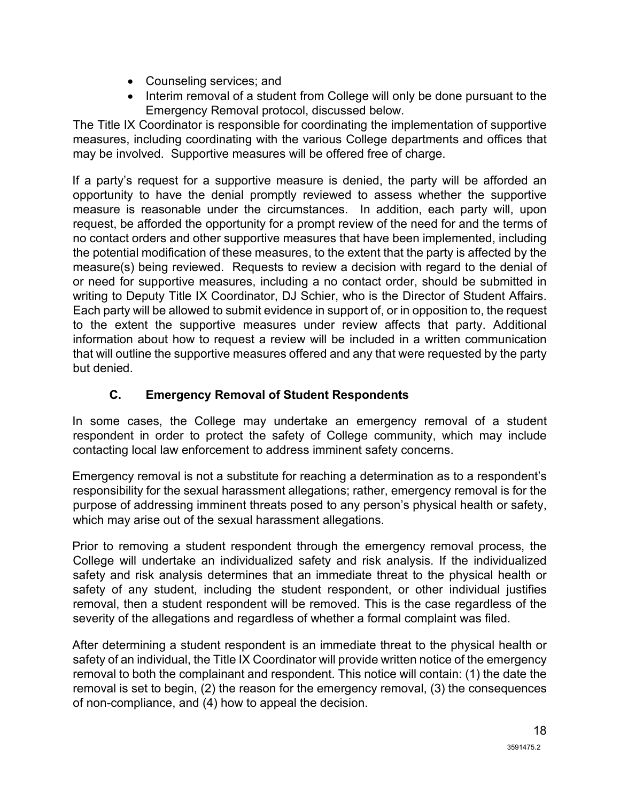- Counseling services; and
- Interim removal of a student from College will only be done pursuant to the Emergency Removal protocol, discussed below.

The Title IX Coordinator is responsible for coordinating the implementation of supportive measures, including coordinating with the various College departments and offices that may be involved. Supportive measures will be offered free of charge.

If a party's request for a supportive measure is denied, the party will be afforded an opportunity to have the denial promptly reviewed to assess whether the supportive measure is reasonable under the circumstances. In addition, each party will, upon request, be afforded the opportunity for a prompt review of the need for and the terms of no contact orders and other supportive measures that have been implemented, including the potential modification of these measures, to the extent that the party is affected by the measure(s) being reviewed. Requests to review a decision with regard to the denial of or need for supportive measures, including a no contact order, should be submitted in writing to Deputy Title IX Coordinator, DJ Schier, who is the Director of Student Affairs. Each party will be allowed to submit evidence in support of, or in opposition to, the request to the extent the supportive measures under review affects that party. Additional information about how to request a review will be included in a written communication that will outline the supportive measures offered and any that were requested by the party but denied.

## **C. Emergency Removal of Student Respondents**

<span id="page-18-0"></span>In some cases, the College may undertake an emergency removal of a student respondent in order to protect the safety of College community, which may include contacting local law enforcement to address imminent safety concerns.

Emergency removal is not a substitute for reaching a determination as to a respondent's responsibility for the sexual harassment allegations; rather, emergency removal is for the purpose of addressing imminent threats posed to any person's physical health or safety, which may arise out of the sexual harassment allegations.

Prior to removing a student respondent through the emergency removal process, the College will undertake an individualized safety and risk analysis. If the individualized safety and risk analysis determines that an immediate threat to the physical health or safety of any student, including the student respondent, or other individual justifies removal, then a student respondent will be removed. This is the case regardless of the severity of the allegations and regardless of whether a formal complaint was filed.

After determining a student respondent is an immediate threat to the physical health or safety of an individual, the Title IX Coordinator will provide written notice of the emergency removal to both the complainant and respondent. This notice will contain: (1) the date the removal is set to begin, (2) the reason for the emergency removal, (3) the consequences of non-compliance, and (4) how to appeal the decision.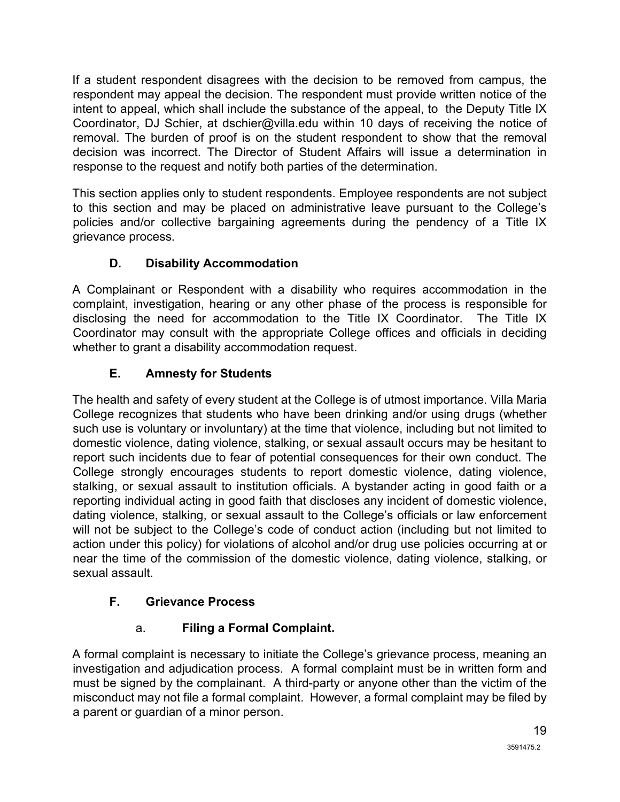If a student respondent disagrees with the decision to be removed from campus, the respondent may appeal the decision. The respondent must provide written notice of the intent to appeal, which shall include the substance of the appeal, to the Deputy Title IX Coordinator, DJ Schier, at dschier@villa.edu within 10 days of receiving the notice of removal. The burden of proof is on the student respondent to show that the removal decision was incorrect. The Director of Student Affairs will issue a determination in response to the request and notify both parties of the determination.

This section applies only to student respondents. Employee respondents are not subject to this section and may be placed on administrative leave pursuant to the College's policies and/or collective bargaining agreements during the pendency of a Title IX grievance process.

# **D. Disability Accommodation**

<span id="page-19-0"></span>A Complainant or Respondent with a disability who requires accommodation in the complaint, investigation, hearing or any other phase of the process is responsible for disclosing the need for accommodation to the Title IX Coordinator. The Title IX Coordinator may consult with the appropriate College offices and officials in deciding whether to grant a disability accommodation request.

# **E. Amnesty for Students**

<span id="page-19-1"></span>The health and safety of every student at the College is of utmost importance. Villa Maria College recognizes that students who have been drinking and/or using drugs (whether such use is voluntary or involuntary) at the time that violence, including but not limited to domestic violence, dating violence, stalking, or sexual assault occurs may be hesitant to report such incidents due to fear of potential consequences for their own conduct. The College strongly encourages students to report domestic violence, dating violence, stalking, or sexual assault to institution officials. A bystander acting in good faith or a reporting individual acting in good faith that discloses any incident of domestic violence, dating violence, stalking, or sexual assault to the College's officials or law enforcement will not be subject to the College's code of conduct action (including but not limited to action under this policy) for violations of alcohol and/or drug use policies occurring at or near the time of the commission of the domestic violence, dating violence, stalking, or sexual assault.

# <span id="page-19-2"></span>**F. Grievance Process**

# a. **Filing a Formal Complaint.**

A formal complaint is necessary to initiate the College's grievance process, meaning an investigation and adjudication process. A formal complaint must be in written form and must be signed by the complainant. A third-party or anyone other than the victim of the misconduct may not file a formal complaint. However, a formal complaint may be filed by a parent or guardian of a minor person.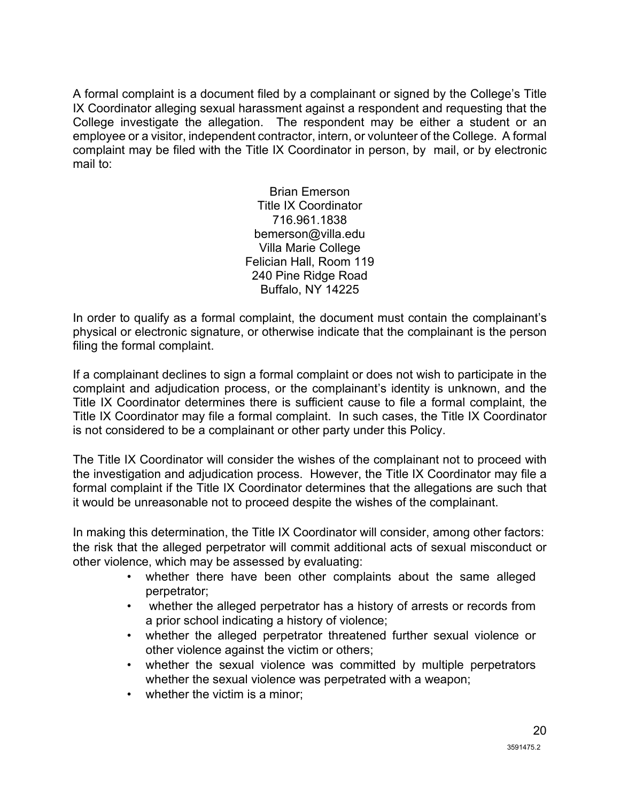A formal complaint is a document filed by a complainant or signed by the College's Title IX Coordinator alleging sexual harassment against a respondent and requesting that the College investigate the allegation. The respondent may be either a student or an employee or a visitor, independent contractor, intern, or volunteer of the College. A formal complaint may be filed with the Title IX Coordinator in person, by mail, or by electronic mail to:

> Brian Emerson Title IX Coordinator 716.961.1838 bemerson@villa.edu Villa Marie College Felician Hall, Room 119 240 Pine Ridge Road Buffalo, NY 14225

In order to qualify as a formal complaint, the document must contain the complainant's physical or electronic signature, or otherwise indicate that the complainant is the person filing the formal complaint.

If a complainant declines to sign a formal complaint or does not wish to participate in the complaint and adjudication process, or the complainant's identity is unknown, and the Title IX Coordinator determines there is sufficient cause to file a formal complaint, the Title IX Coordinator may file a formal complaint. In such cases, the Title IX Coordinator is not considered to be a complainant or other party under this Policy.

The Title IX Coordinator will consider the wishes of the complainant not to proceed with the investigation and adjudication process. However, the Title IX Coordinator may file a formal complaint if the Title IX Coordinator determines that the allegations are such that it would be unreasonable not to proceed despite the wishes of the complainant.

In making this determination, the Title IX Coordinator will consider, among other factors: the risk that the alleged perpetrator will commit additional acts of sexual misconduct or other violence, which may be assessed by evaluating:

- whether there have been other complaints about the same alleged perpetrator;
- whether the alleged perpetrator has a history of arrests or records from a prior school indicating a history of violence;
- whether the alleged perpetrator threatened further sexual violence or other violence against the victim or others;
- whether the sexual violence was committed by multiple perpetrators whether the sexual violence was perpetrated with a weapon;
- whether the victim is a minor: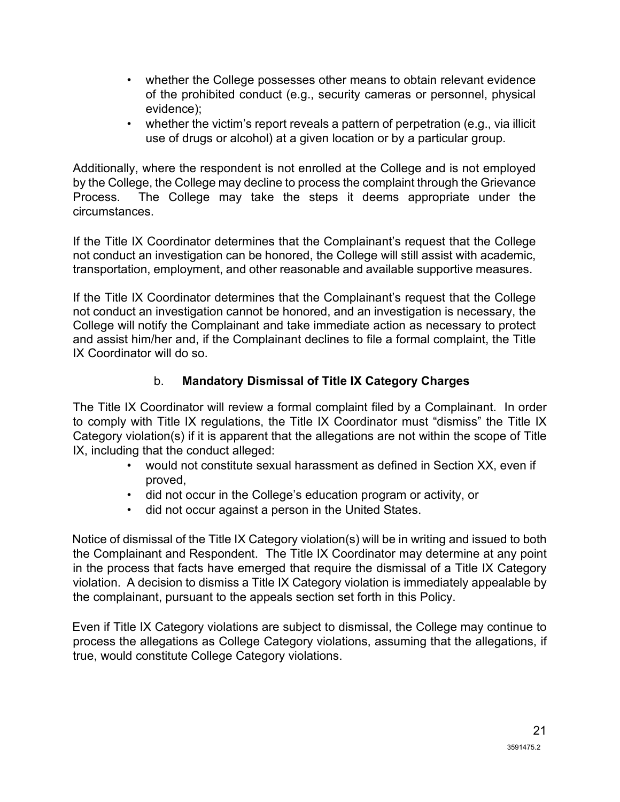- whether the College possesses other means to obtain relevant evidence of the prohibited conduct (e.g., security cameras or personnel, physical evidence);
- whether the victim's report reveals a pattern of perpetration (e.g., via illicit use of drugs or alcohol) at a given location or by a particular group.

Additionally, where the respondent is not enrolled at the College and is not employed by the College, the College may decline to process the complaint through the Grievance Process. The College may take the steps it deems appropriate under the circumstances.

If the Title IX Coordinator determines that the Complainant's request that the College not conduct an investigation can be honored, the College will still assist with academic, transportation, employment, and other reasonable and available supportive measures.

If the Title IX Coordinator determines that the Complainant's request that the College not conduct an investigation cannot be honored, and an investigation is necessary, the College will notify the Complainant and take immediate action as necessary to protect and assist him/her and, if the Complainant declines to file a formal complaint, the Title IX Coordinator will do so.

## b. **Mandatory Dismissal of Title IX Category Charges**

The Title IX Coordinator will review a formal complaint filed by a Complainant. In order to comply with Title IX regulations, the Title IX Coordinator must "dismiss" the Title IX Category violation(s) if it is apparent that the allegations are not within the scope of Title IX, including that the conduct alleged:

- would not constitute sexual harassment as defined in Section XX, even if proved,
- did not occur in the College's education program or activity, or
- did not occur against a person in the United States.

Notice of dismissal of the Title IX Category violation(s) will be in writing and issued to both the Complainant and Respondent. The Title IX Coordinator may determine at any point in the process that facts have emerged that require the dismissal of a Title IX Category violation. A decision to dismiss a Title IX Category violation is immediately appealable by the complainant, pursuant to the appeals section set forth in this Policy.

Even if Title IX Category violations are subject to dismissal, the College may continue to process the allegations as College Category violations, assuming that the allegations, if true, would constitute College Category violations.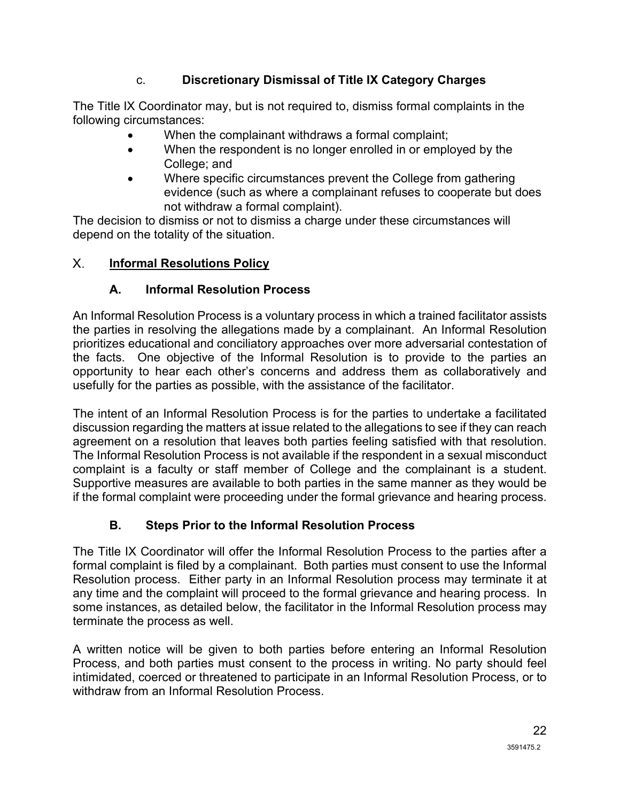### c. **Discretionary Dismissal of Title IX Category Charges**

The Title IX Coordinator may, but is not required to, dismiss formal complaints in the following circumstances:

- When the complainant withdraws a formal complaint;
- When the respondent is no longer enrolled in or employed by the College; and
- Where specific circumstances prevent the College from gathering evidence (such as where a complainant refuses to cooperate but does not withdraw a formal complaint).

The decision to dismiss or not to dismiss a charge under these circumstances will depend on the totality of the situation.

#### <span id="page-22-0"></span> $X_{-}$ **Informal Resolutions Policy**

### **A. Informal Resolution Process**

An Informal Resolution Process is a voluntary process in which a trained facilitator assists the parties in resolving the allegations made by a complainant. An Informal Resolution prioritizes educational and conciliatory approaches over more adversarial contestation of the facts. One objective of the Informal Resolution is to provide to the parties an opportunity to hear each other's concerns and address them as collaboratively and usefully for the parties as possible, with the assistance of the facilitator.

The intent of an Informal Resolution Process is for the parties to undertake a facilitated discussion regarding the matters at issue related to the allegations to see if they can reach agreement on a resolution that leaves both parties feeling satisfied with that resolution. The Informal Resolution Process is not available if the respondent in a sexual misconduct complaint is a faculty or staff member of College and the complainant is a student. Supportive measures are available to both parties in the same manner as they would be if the formal complaint were proceeding under the formal grievance and hearing process.

## **B. Steps Prior to the Informal Resolution Process**

The Title IX Coordinator will offer the Informal Resolution Process to the parties after a formal complaint is filed by a complainant. Both parties must consent to use the Informal Resolution process. Either party in an Informal Resolution process may terminate it at any time and the complaint will proceed to the formal grievance and hearing process. In some instances, as detailed below, the facilitator in the Informal Resolution process may terminate the process as well.

A written notice will be given to both parties before entering an Informal Resolution Process, and both parties must consent to the process in writing. No party should feel intimidated, coerced or threatened to participate in an Informal Resolution Process, or to withdraw from an Informal Resolution Process.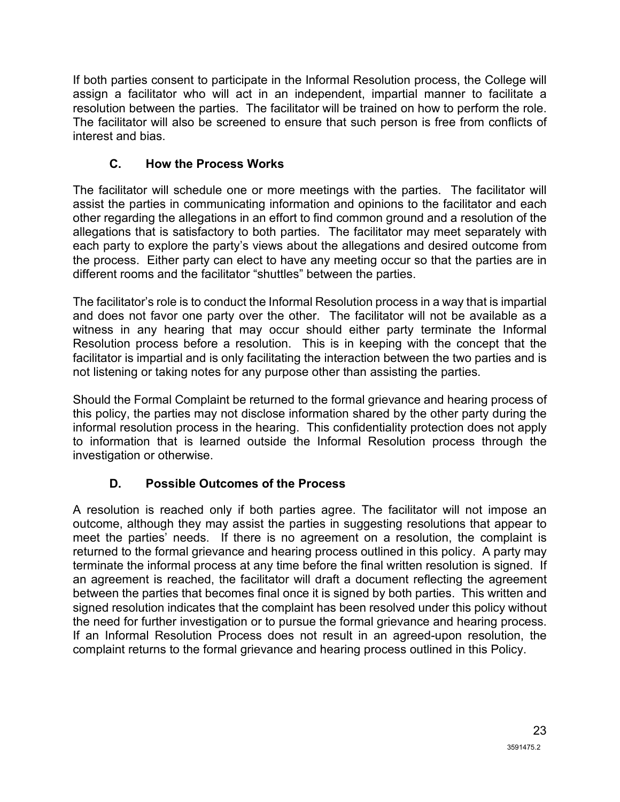If both parties consent to participate in the Informal Resolution process, the College will assign a facilitator who will act in an independent, impartial manner to facilitate a resolution between the parties. The facilitator will be trained on how to perform the role. The facilitator will also be screened to ensure that such person is free from conflicts of interest and bias.

## **C. How the Process Works**

The facilitator will schedule one or more meetings with the parties. The facilitator will assist the parties in communicating information and opinions to the facilitator and each other regarding the allegations in an effort to find common ground and a resolution of the allegations that is satisfactory to both parties. The facilitator may meet separately with each party to explore the party's views about the allegations and desired outcome from the process. Either party can elect to have any meeting occur so that the parties are in different rooms and the facilitator "shuttles" between the parties.

The facilitator's role is to conduct the Informal Resolution process in a way that is impartial and does not favor one party over the other. The facilitator will not be available as a witness in any hearing that may occur should either party terminate the Informal Resolution process before a resolution. This is in keeping with the concept that the facilitator is impartial and is only facilitating the interaction between the two parties and is not listening or taking notes for any purpose other than assisting the parties.

Should the Formal Complaint be returned to the formal grievance and hearing process of this policy, the parties may not disclose information shared by the other party during the informal resolution process in the hearing. This confidentiality protection does not apply to information that is learned outside the Informal Resolution process through the investigation or otherwise.

# **D. Possible Outcomes of the Process**

A resolution is reached only if both parties agree. The facilitator will not impose an outcome, although they may assist the parties in suggesting resolutions that appear to meet the parties' needs. If there is no agreement on a resolution, the complaint is returned to the formal grievance and hearing process outlined in this policy. A party may terminate the informal process at any time before the final written resolution is signed. If an agreement is reached, the facilitator will draft a document reflecting the agreement between the parties that becomes final once it is signed by both parties. This written and signed resolution indicates that the complaint has been resolved under this policy without the need for further investigation or to pursue the formal grievance and hearing process. If an Informal Resolution Process does not result in an agreed-upon resolution, the complaint returns to the formal grievance and hearing process outlined in this Policy.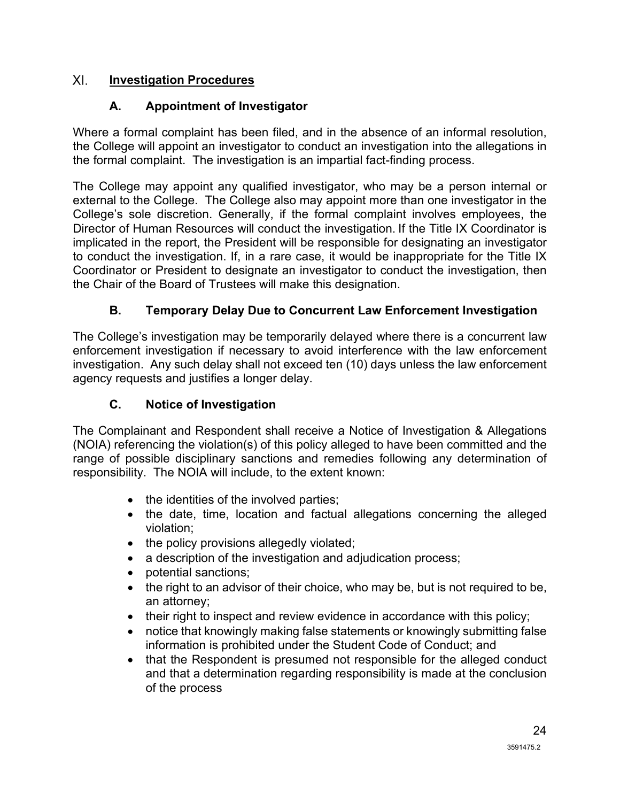#### <span id="page-24-0"></span> $XL$ **Investigation Procedures**

### **A. Appointment of Investigator**

Where a formal complaint has been filed, and in the absence of an informal resolution, the College will appoint an investigator to conduct an investigation into the allegations in the formal complaint. The investigation is an impartial fact-finding process.

The College may appoint any qualified investigator, who may be a person internal or external to the College. The College also may appoint more than one investigator in the College's sole discretion. Generally, if the formal complaint involves employees, the Director of Human Resources will conduct the investigation. If the Title IX Coordinator is implicated in the report, the President will be responsible for designating an investigator to conduct the investigation. If, in a rare case, it would be inappropriate for the Title IX Coordinator or President to designate an investigator to conduct the investigation, then the Chair of the Board of Trustees will make this designation.

## **B. Temporary Delay Due to Concurrent Law Enforcement Investigation**

The College's investigation may be temporarily delayed where there is a concurrent law enforcement investigation if necessary to avoid interference with the law enforcement investigation. Any such delay shall not exceed ten (10) days unless the law enforcement agency requests and justifies a longer delay.

### **C. Notice of Investigation**

The Complainant and Respondent shall receive a Notice of Investigation & Allegations (NOIA) referencing the violation(s) of this policy alleged to have been committed and the range of possible disciplinary sanctions and remedies following any determination of responsibility. The NOIA will include, to the extent known:

- the identities of the involved parties;
- the date, time, location and factual allegations concerning the alleged violation;
- the policy provisions allegedly violated;
- a description of the investigation and adjudication process;
- potential sanctions;
- the right to an advisor of their choice, who may be, but is not required to be, an attorney;
- their right to inspect and review evidence in accordance with this policy;
- notice that knowingly making false statements or knowingly submitting false information is prohibited under the Student Code of Conduct; and
- that the Respondent is presumed not responsible for the alleged conduct and that a determination regarding responsibility is made at the conclusion of the process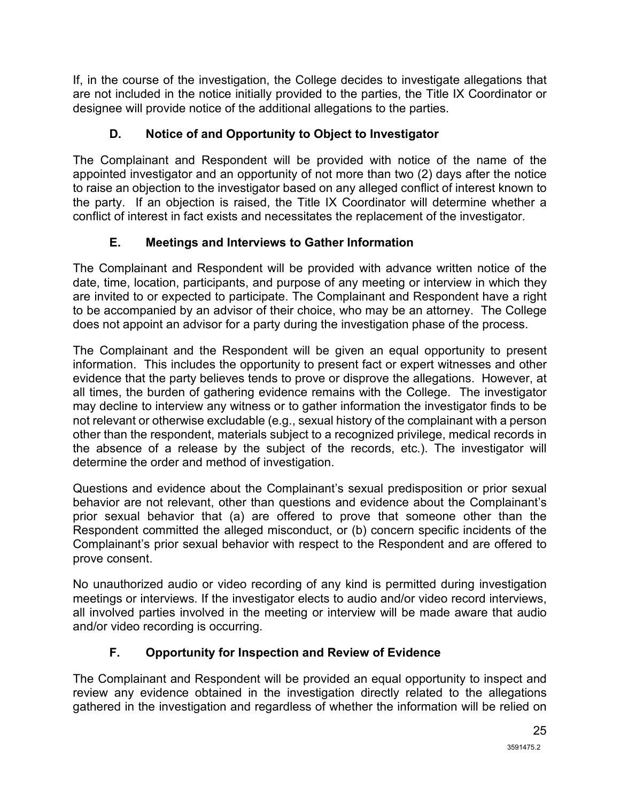If, in the course of the investigation, the College decides to investigate allegations that are not included in the notice initially provided to the parties, the Title IX Coordinator or designee will provide notice of the additional allegations to the parties.

# **D. Notice of and Opportunity to Object to Investigator**

The Complainant and Respondent will be provided with notice of the name of the appointed investigator and an opportunity of not more than two (2) days after the notice to raise an objection to the investigator based on any alleged conflict of interest known to the party. If an objection is raised, the Title IX Coordinator will determine whether a conflict of interest in fact exists and necessitates the replacement of the investigator.

# **E. Meetings and Interviews to Gather Information**

The Complainant and Respondent will be provided with advance written notice of the date, time, location, participants, and purpose of any meeting or interview in which they are invited to or expected to participate. The Complainant and Respondent have a right to be accompanied by an advisor of their choice, who may be an attorney. The College does not appoint an advisor for a party during the investigation phase of the process.

The Complainant and the Respondent will be given an equal opportunity to present information. This includes the opportunity to present fact or expert witnesses and other evidence that the party believes tends to prove or disprove the allegations. However, at all times, the burden of gathering evidence remains with the College. The investigator may decline to interview any witness or to gather information the investigator finds to be not relevant or otherwise excludable (e.g., sexual history of the complainant with a person other than the respondent, materials subject to a recognized privilege, medical records in the absence of a release by the subject of the records, etc.). The investigator will determine the order and method of investigation.

Questions and evidence about the Complainant's sexual predisposition or prior sexual behavior are not relevant, other than questions and evidence about the Complainant's prior sexual behavior that (a) are offered to prove that someone other than the Respondent committed the alleged misconduct, or (b) concern specific incidents of the Complainant's prior sexual behavior with respect to the Respondent and are offered to prove consent.

No unauthorized audio or video recording of any kind is permitted during investigation meetings or interviews. If the investigator elects to audio and/or video record interviews, all involved parties involved in the meeting or interview will be made aware that audio and/or video recording is occurring.

# **F. Opportunity for Inspection and Review of Evidence**

The Complainant and Respondent will be provided an equal opportunity to inspect and review any evidence obtained in the investigation directly related to the allegations gathered in the investigation and regardless of whether the information will be relied on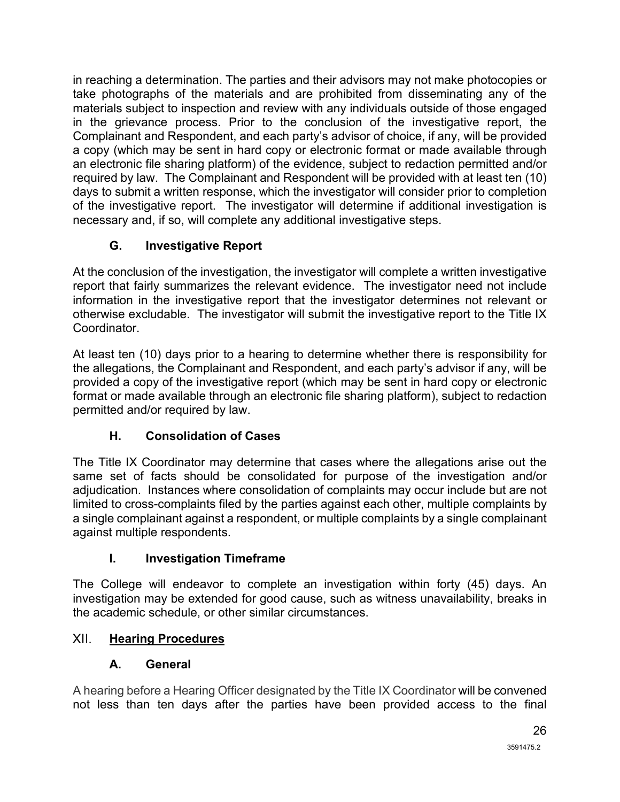in reaching a determination. The parties and their advisors may not make photocopies or take photographs of the materials and are prohibited from disseminating any of the materials subject to inspection and review with any individuals outside of those engaged in the grievance process. Prior to the conclusion of the investigative report, the Complainant and Respondent, and each party's advisor of choice, if any, will be provided a copy (which may be sent in hard copy or electronic format or made available through an electronic file sharing platform) of the evidence, subject to redaction permitted and/or required by law. The Complainant and Respondent will be provided with at least ten (10) days to submit a written response, which the investigator will consider prior to completion of the investigative report. The investigator will determine if additional investigation is necessary and, if so, will complete any additional investigative steps.

# **G. Investigative Report**

At the conclusion of the investigation, the investigator will complete a written investigative report that fairly summarizes the relevant evidence. The investigator need not include information in the investigative report that the investigator determines not relevant or otherwise excludable. The investigator will submit the investigative report to the Title IX **Coordinator** 

At least ten (10) days prior to a hearing to determine whether there is responsibility for the allegations, the Complainant and Respondent, and each party's advisor if any, will be provided a copy of the investigative report (which may be sent in hard copy or electronic format or made available through an electronic file sharing platform), subject to redaction permitted and/or required by law.

# **H. Consolidation of Cases**

The Title IX Coordinator may determine that cases where the allegations arise out the same set of facts should be consolidated for purpose of the investigation and/or adjudication. Instances where consolidation of complaints may occur include but are not limited to cross-complaints filed by the parties against each other, multiple complaints by a single complainant against a respondent, or multiple complaints by a single complainant against multiple respondents.

## **I. Investigation Timeframe**

The College will endeavor to complete an investigation within forty (45) days. An investigation may be extended for good cause, such as witness unavailability, breaks in the academic schedule, or other similar circumstances.

#### <span id="page-26-0"></span> $XII.$ **Hearing Procedures**

## **A. General**

A hearing before a Hearing Officer designated by the Title IX Coordinator will be convened not less than ten days after the parties have been provided access to the final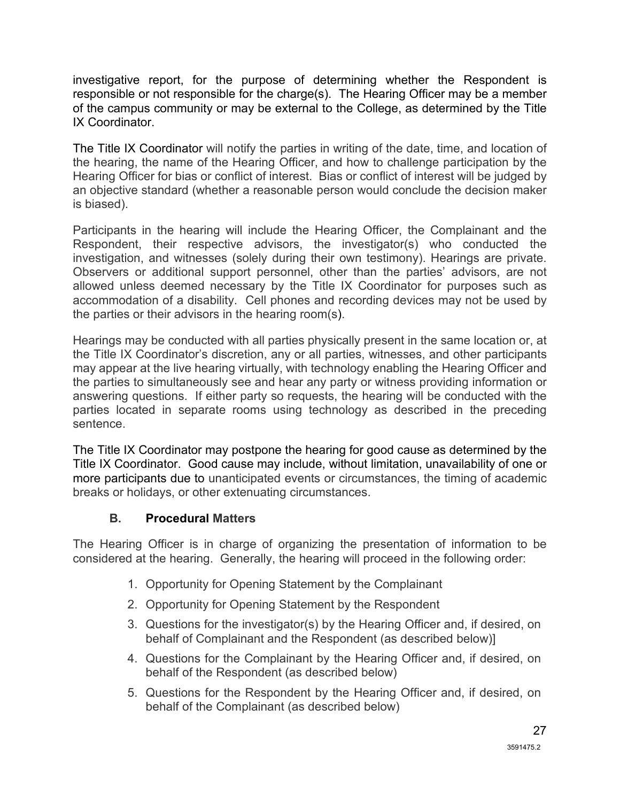investigative report, for the purpose of determining whether the Respondent is responsible or not responsible for the charge(s). The Hearing Officer may be a member of the campus community or may be external to the College, as determined by the Title IX Coordinator.

The Title IX Coordinator will notify the parties in writing of the date, time, and location of the hearing, the name of the Hearing Officer, and how to challenge participation by the Hearing Officer for bias or conflict of interest. Bias or conflict of interest will be judged by an objective standard (whether a reasonable person would conclude the decision maker is biased).

Participants in the hearing will include the Hearing Officer, the Complainant and the Respondent, their respective advisors, the investigator(s) who conducted the investigation, and witnesses (solely during their own testimony). Hearings are private. Observers or additional support personnel, other than the parties' advisors, are not allowed unless deemed necessary by the Title IX Coordinator for purposes such as accommodation of a disability. Cell phones and recording devices may not be used by the parties or their advisors in the hearing room(s).

Hearings may be conducted with all parties physically present in the same location or, at the Title IX Coordinator's discretion, any or all parties, witnesses, and other participants may appear at the live hearing virtually, with technology enabling the Hearing Officer and the parties to simultaneously see and hear any party or witness providing information or answering questions. If either party so requests, the hearing will be conducted with the parties located in separate rooms using technology as described in the preceding sentence.

The Title IX Coordinator may postpone the hearing for good cause as determined by the Title IX Coordinator. Good cause may include, without limitation, unavailability of one or more participants due to unanticipated events or circumstances, the timing of academic breaks or holidays, or other extenuating circumstances.

### **B. Procedural Matters**

The Hearing Officer is in charge of organizing the presentation of information to be considered at the hearing. Generally, the hearing will proceed in the following order:

- 1. Opportunity for Opening Statement by the Complainant
- 2. Opportunity for Opening Statement by the Respondent
- 3. Questions for the investigator(s) by the Hearing Officer and, if desired, on behalf of Complainant and the Respondent (as described below)]
- 4. Questions for the Complainant by the Hearing Officer and, if desired, on behalf of the Respondent (as described below)
- 5. Questions for the Respondent by the Hearing Officer and, if desired, on behalf of the Complainant (as described below)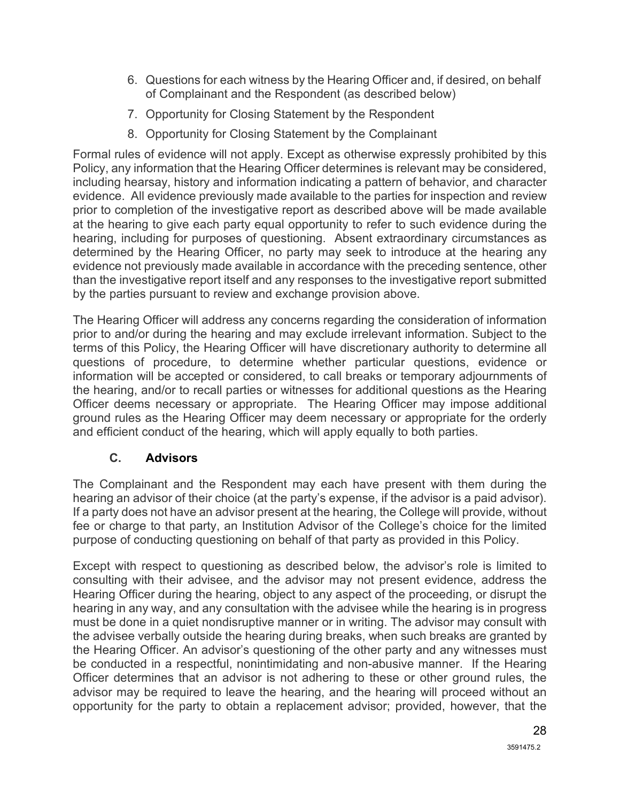- 6. Questions for each witness by the Hearing Officer and, if desired, on behalf of Complainant and the Respondent (as described below)
- 7. Opportunity for Closing Statement by the Respondent
- 8. Opportunity for Closing Statement by the Complainant

Formal rules of evidence will not apply. Except as otherwise expressly prohibited by this Policy, any information that the Hearing Officer determines is relevant may be considered, including hearsay, history and information indicating a pattern of behavior, and character evidence. All evidence previously made available to the parties for inspection and review prior to completion of the investigative report as described above will be made available at the hearing to give each party equal opportunity to refer to such evidence during the hearing, including for purposes of questioning. Absent extraordinary circumstances as determined by the Hearing Officer, no party may seek to introduce at the hearing any evidence not previously made available in accordance with the preceding sentence, other than the investigative report itself and any responses to the investigative report submitted by the parties pursuant to review and exchange provision above.

The Hearing Officer will address any concerns regarding the consideration of information prior to and/or during the hearing and may exclude irrelevant information. Subject to the terms of this Policy, the Hearing Officer will have discretionary authority to determine all questions of procedure, to determine whether particular questions, evidence or information will be accepted or considered, to call breaks or temporary adjournments of the hearing, and/or to recall parties or witnesses for additional questions as the Hearing Officer deems necessary or appropriate. The Hearing Officer may impose additional ground rules as the Hearing Officer may deem necessary or appropriate for the orderly and efficient conduct of the hearing, which will apply equally to both parties.

## **C. Advisors**

The Complainant and the Respondent may each have present with them during the hearing an advisor of their choice (at the party's expense, if the advisor is a paid advisor). If a party does not have an advisor present at the hearing, the College will provide, without fee or charge to that party, an Institution Advisor of the College's choice for the limited purpose of conducting questioning on behalf of that party as provided in this Policy.

Except with respect to questioning as described below, the advisor's role is limited to consulting with their advisee, and the advisor may not present evidence, address the Hearing Officer during the hearing, object to any aspect of the proceeding, or disrupt the hearing in any way, and any consultation with the advisee while the hearing is in progress must be done in a quiet nondisruptive manner or in writing. The advisor may consult with the advisee verbally outside the hearing during breaks, when such breaks are granted by the Hearing Officer. An advisor's questioning of the other party and any witnesses must be conducted in a respectful, nonintimidating and non-abusive manner. If the Hearing Officer determines that an advisor is not adhering to these or other ground rules, the advisor may be required to leave the hearing, and the hearing will proceed without an opportunity for the party to obtain a replacement advisor; provided, however, that the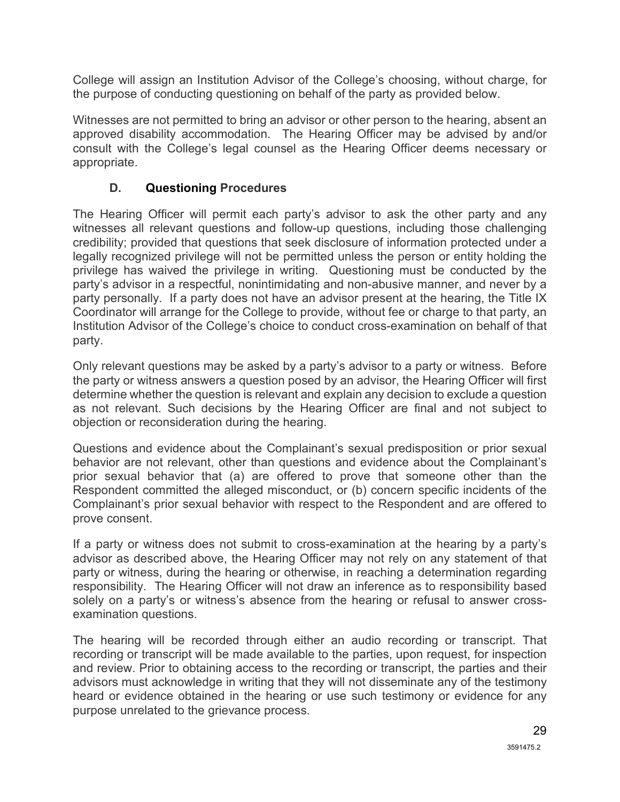College will assign an Institution Advisor of the College's choosing, without charge, for the purpose of conducting questioning on behalf of the party as provided below.

Witnesses are not permitted to bring an advisor or other person to the hearing, absent an approved disability accommodation. The Hearing Officer may be advised by and/or consult with the College's legal counsel as the Hearing Officer deems necessary or appropriate.

## **D. Questioning Procedures**

The Hearing Officer will permit each party's advisor to ask the other party and any witnesses all relevant questions and follow-up questions, including those challenging credibility; provided that questions that seek disclosure of information protected under a legally recognized privilege will not be permitted unless the person or entity holding the privilege has waived the privilege in writing. Questioning must be conducted by the party's advisor in a respectful, nonintimidating and non-abusive manner, and never by a party personally. If a party does not have an advisor present at the hearing, the Title IX Coordinator will arrange for the College to provide, without fee or charge to that party, an Institution Advisor of the College's choice to conduct cross-examination on behalf of that party.

Only relevant questions may be asked by a party's advisor to a party or witness. Before the party or witness answers a question posed by an advisor, the Hearing Officer will first determine whether the question is relevant and explain any decision to exclude a question as not relevant. Such decisions by the Hearing Officer are final and not subject to objection or reconsideration during the hearing.

Questions and evidence about the Complainant's sexual predisposition or prior sexual behavior are not relevant, other than questions and evidence about the Complainant's prior sexual behavior that (a) are offered to prove that someone other than the Respondent committed the alleged misconduct, or (b) concern specific incidents of the Complainant's prior sexual behavior with respect to the Respondent and are offered to prove consent.

If a party or witness does not submit to cross-examination at the hearing by a party's advisor as described above, the Hearing Officer may not rely on any statement of that party or witness, during the hearing or otherwise, in reaching a determination regarding responsibility. The Hearing Officer will not draw an inference as to responsibility based solely on a party's or witness's absence from the hearing or refusal to answer crossexamination questions.

The hearing will be recorded through either an audio recording or transcript. That recording or transcript will be made available to the parties, upon request, for inspection and review. Prior to obtaining access to the recording or transcript, the parties and their advisors must acknowledge in writing that they will not disseminate any of the testimony heard or evidence obtained in the hearing or use such testimony or evidence for any purpose unrelated to the grievance process.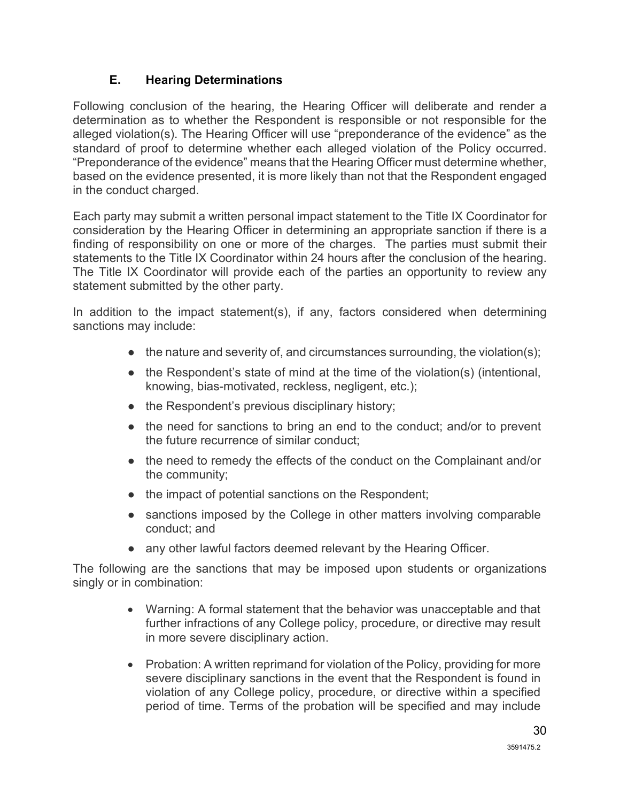### **E. Hearing Determinations**

Following conclusion of the hearing, the Hearing Officer will deliberate and render a determination as to whether the Respondent is responsible or not responsible for the alleged violation(s). The Hearing Officer will use "preponderance of the evidence" as the standard of proof to determine whether each alleged violation of the Policy occurred. "Preponderance of the evidence" means that the Hearing Officer must determine whether, based on the evidence presented, it is more likely than not that the Respondent engaged in the conduct charged.

Each party may submit a written personal impact statement to the Title IX Coordinator for consideration by the Hearing Officer in determining an appropriate sanction if there is a finding of responsibility on one or more of the charges. The parties must submit their statements to the Title IX Coordinator within 24 hours after the conclusion of the hearing. The Title IX Coordinator will provide each of the parties an opportunity to review any statement submitted by the other party.

In addition to the impact statement(s), if any, factors considered when determining sanctions may include:

- $\bullet$  the nature and severity of, and circumstances surrounding, the violation(s);
- the Respondent's state of mind at the time of the violation(s) (intentional, knowing, bias-motivated, reckless, negligent, etc.);
- the Respondent's previous disciplinary history;
- the need for sanctions to bring an end to the conduct; and/or to prevent the future recurrence of similar conduct;
- the need to remedy the effects of the conduct on the Complainant and/or the community;
- the impact of potential sanctions on the Respondent;
- sanctions imposed by the College in other matters involving comparable conduct; and
- any other lawful factors deemed relevant by the Hearing Officer.

The following are the sanctions that may be imposed upon students or organizations singly or in combination:

- Warning: A formal statement that the behavior was unacceptable and that further infractions of any College policy, procedure, or directive may result in more severe disciplinary action.
- Probation: A written reprimand for violation of the Policy, providing for more severe disciplinary sanctions in the event that the Respondent is found in violation of any College policy, procedure, or directive within a specified period of time. Terms of the probation will be specified and may include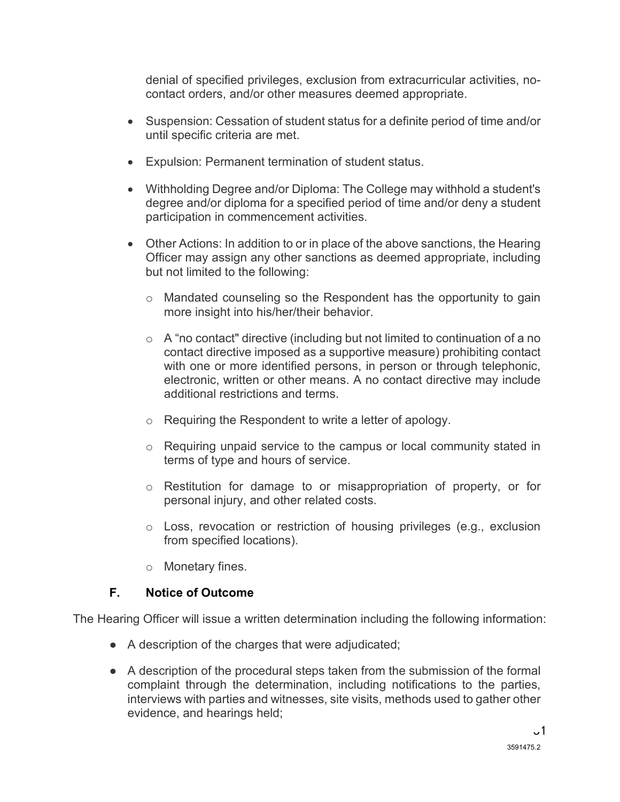denial of specified privileges, exclusion from extracurricular activities, nocontact orders, and/or other measures deemed appropriate.

- Suspension: Cessation of student status for a definite period of time and/or until specific criteria are met.
- Expulsion: Permanent termination of student status.
- Withholding Degree and/or Diploma: The College may withhold a student's degree and/or diploma for a specified period of time and/or deny a student participation in commencement activities.
- Other Actions: In addition to or in place of the above sanctions, the Hearing Officer may assign any other sanctions as deemed appropriate, including but not limited to the following:
	- $\circ$  Mandated counseling so the Respondent has the opportunity to gain more insight into his/her/their behavior.
	- $\circ$  A "no contact" directive (including but not limited to continuation of a no contact directive imposed as a supportive measure) prohibiting contact with one or more identified persons, in person or through telephonic, electronic, written or other means. A no contact directive may include additional restrictions and terms.
	- o Requiring the Respondent to write a letter of apology.
	- $\circ$  Requiring unpaid service to the campus or local community stated in terms of type and hours of service.
	- o Restitution for damage to or misappropriation of property, or for personal injury, and other related costs.
	- $\circ$  Loss, revocation or restriction of housing privileges (e.g., exclusion from specified locations).
	- o Monetary fines.

## **F. Notice of Outcome**

The Hearing Officer will issue a written determination including the following information:

- A description of the charges that were adjudicated;
- A description of the procedural steps taken from the submission of the formal complaint through the determination, including notifications to the parties, interviews with parties and witnesses, site visits, methods used to gather other evidence, and hearings held;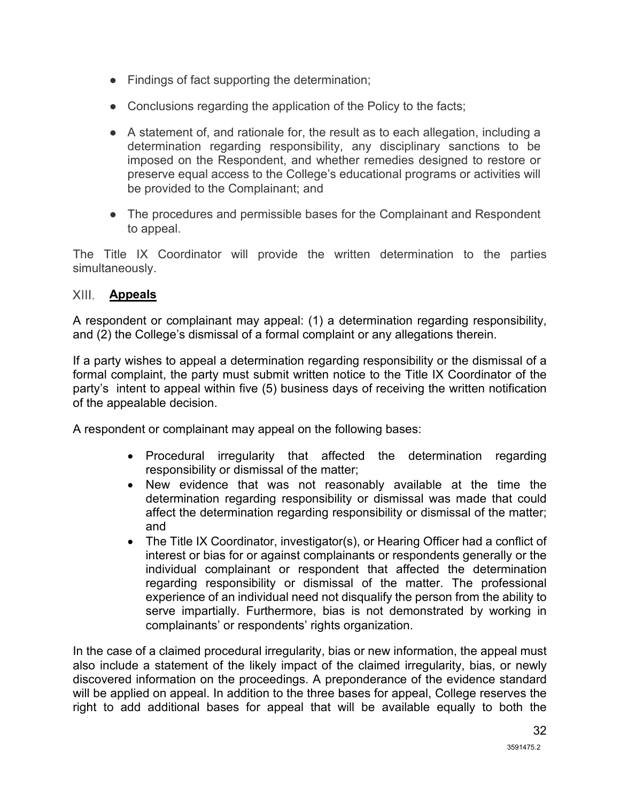- Findings of fact supporting the determination;
- Conclusions regarding the application of the Policy to the facts;
- $\bullet$  A statement of, and rationale for, the result as to each allegation, including a determination regarding responsibility, any disciplinary sanctions to be imposed on the Respondent, and whether remedies designed to restore or preserve equal access to the College's educational programs or activities will be provided to the Complainant; and
- The procedures and permissible bases for the Complainant and Respondent to appeal.

The Title IX Coordinator will provide the written determination to the parties simultaneously.

### <span id="page-32-0"></span>**Appeals**

A respondent or complainant may appeal: (1) a determination regarding responsibility, and (2) the College's dismissal of a formal complaint or any allegations therein.

If a party wishes to appeal a determination regarding responsibility or the dismissal of a formal complaint, the party must submit written notice to the Title IX Coordinator of the party's intent to appeal within five (5) business days of receiving the written notification of the appealable decision.

A respondent or complainant may appeal on the following bases:

- Procedural irregularity that affected the determination regarding responsibility or dismissal of the matter;
- New evidence that was not reasonably available at the time the determination regarding responsibility or dismissal was made that could affect the determination regarding responsibility or dismissal of the matter; and
- The Title IX Coordinator, investigator(s), or Hearing Officer had a conflict of interest or bias for or against complainants or respondents generally or the individual complainant or respondent that affected the determination regarding responsibility or dismissal of the matter. The professional experience of an individual need not disqualify the person from the ability to serve impartially. Furthermore, bias is not demonstrated by working in complainants' or respondents' rights organization.

In the case of a claimed procedural irregularity, bias or new information, the appeal must also include a statement of the likely impact of the claimed irregularity, bias, or newly discovered information on the proceedings. A preponderance of the evidence standard will be applied on appeal. In addition to the three bases for appeal, College reserves the right to add additional bases for appeal that will be available equally to both the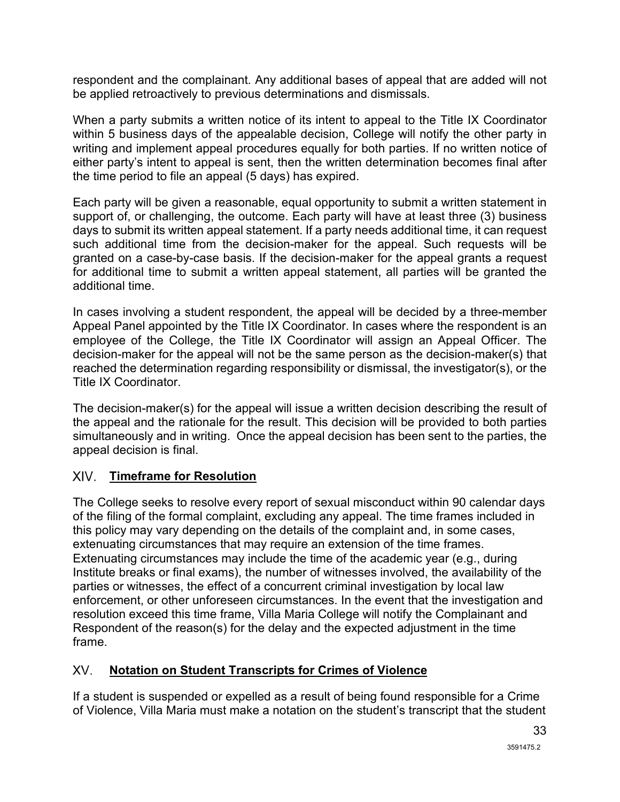respondent and the complainant. Any additional bases of appeal that are added will not be applied retroactively to previous determinations and dismissals.

When a party submits a written notice of its intent to appeal to the Title IX Coordinator within 5 business days of the appealable decision, College will notify the other party in writing and implement appeal procedures equally for both parties. If no written notice of either party's intent to appeal is sent, then the written determination becomes final after the time period to file an appeal (5 days) has expired.

Each party will be given a reasonable, equal opportunity to submit a written statement in support of, or challenging, the outcome. Each party will have at least three (3) business days to submit its written appeal statement. If a party needs additional time, it can request such additional time from the decision-maker for the appeal. Such requests will be granted on a case-by-case basis. If the decision-maker for the appeal grants a request for additional time to submit a written appeal statement, all parties will be granted the additional time.

In cases involving a student respondent, the appeal will be decided by a three-member Appeal Panel appointed by the Title IX Coordinator. In cases where the respondent is an employee of the College, the Title IX Coordinator will assign an Appeal Officer. The decision-maker for the appeal will not be the same person as the decision-maker(s) that reached the determination regarding responsibility or dismissal, the investigator(s), or the Title IX Coordinator.

The decision-maker(s) for the appeal will issue a written decision describing the result of the appeal and the rationale for the result. This decision will be provided to both parties simultaneously and in writing. Once the appeal decision has been sent to the parties, the appeal decision is final.

#### <span id="page-33-0"></span>XIV. **Timeframe for Resolution**

The College seeks to resolve every report of sexual misconduct within 90 calendar days of the filing of the formal complaint, excluding any appeal. The time frames included in this policy may vary depending on the details of the complaint and, in some cases, extenuating circumstances that may require an extension of the time frames. Extenuating circumstances may include the time of the academic year (e.g., during Institute breaks or final exams), the number of witnesses involved, the availability of the parties or witnesses, the effect of a concurrent criminal investigation by local law enforcement, or other unforeseen circumstances. In the event that the investigation and resolution exceed this time frame, Villa Maria College will notify the Complainant and Respondent of the reason(s) for the delay and the expected adjustment in the time frame.

#### XV. **Notation on Student Transcripts for Crimes of Violence**

If a student is suspended or expelled as a result of being found responsible for a Crime of Violence, Villa Maria must make a notation on the student's transcript that the student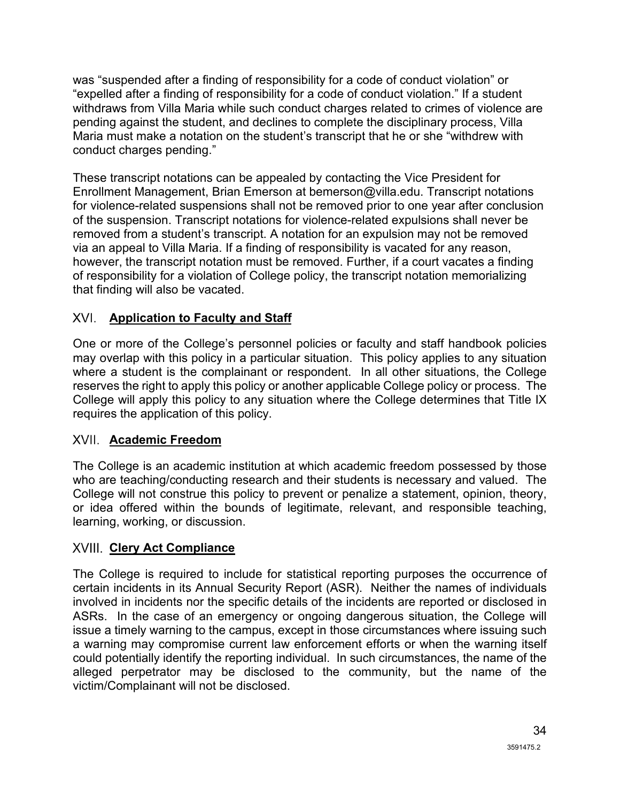was "suspended after a finding of responsibility for a code of conduct violation" or "expelled after a finding of responsibility for a code of conduct violation." If a student withdraws from Villa Maria while such conduct charges related to crimes of violence are pending against the student, and declines to complete the disciplinary process, Villa Maria must make a notation on the student's transcript that he or she "withdrew with conduct charges pending."

These transcript notations can be appealed by contacting the Vice President for Enrollment Management, Brian Emerson at bemerson@villa.edu. Transcript notations for violence-related suspensions shall not be removed prior to one year after conclusion of the suspension. Transcript notations for violence-related expulsions shall never be removed from a student's transcript. A notation for an expulsion may not be removed via an appeal to Villa Maria. If a finding of responsibility is vacated for any reason, however, the transcript notation must be removed. Further, if a court vacates a finding of responsibility for a violation of College policy, the transcript notation memorializing that finding will also be vacated.

## **Application to Faculty and Staff**

One or more of the College's personnel policies or faculty and staff handbook policies may overlap with this policy in a particular situation. This policy applies to any situation where a student is the complainant or respondent. In all other situations, the College reserves the right to apply this policy or another applicable College policy or process. The College will apply this policy to any situation where the College determines that Title IX requires the application of this policy.

# <span id="page-34-0"></span>**Academic Freedom**

The College is an academic institution at which academic freedom possessed by those who are teaching/conducting research and their students is necessary and valued. The College will not construe this policy to prevent or penalize a statement, opinion, theory, or idea offered within the bounds of legitimate, relevant, and responsible teaching, learning, working, or discussion.

# <span id="page-34-1"></span>**XVIII. Clery Act Compliance**

The College is required to include for statistical reporting purposes the occurrence of certain incidents in its Annual Security Report (ASR). Neither the names of individuals involved in incidents nor the specific details of the incidents are reported or disclosed in ASRs. In the case of an emergency or ongoing dangerous situation, the College will issue a timely warning to the campus, except in those circumstances where issuing such a warning may compromise current law enforcement efforts or when the warning itself could potentially identify the reporting individual. In such circumstances, the name of the alleged perpetrator may be disclosed to the community, but the name of the victim/Complainant will not be disclosed.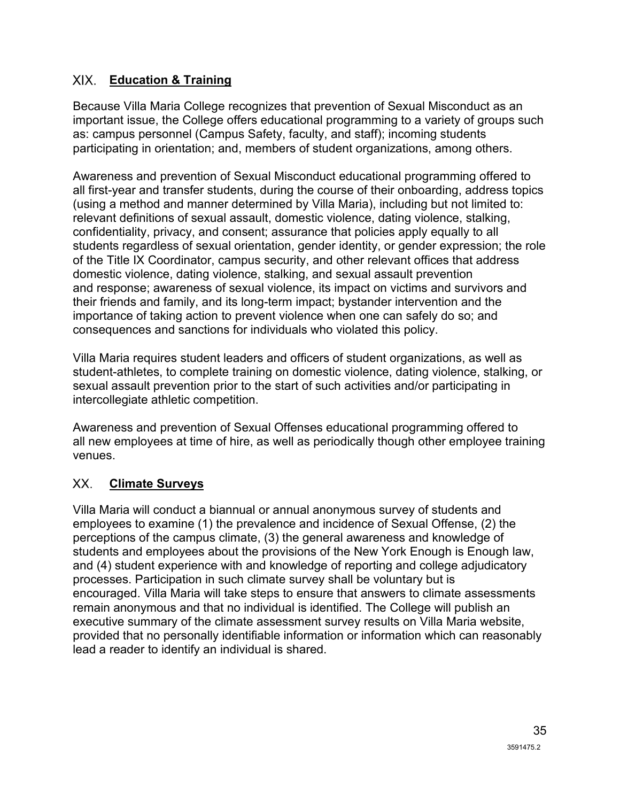### <span id="page-35-0"></span>**Education & Training**

Because Villa Maria College recognizes that prevention of Sexual Misconduct as an important issue, the College offers educational programming to a variety of groups such as: campus personnel (Campus Safety, faculty, and staff); incoming students participating in orientation; and, members of student organizations, among others.

Awareness and prevention of Sexual Misconduct educational programming offered to all first-year and transfer students, during the course of their onboarding, address topics (using a method and manner determined by Villa Maria), including but not limited to: relevant definitions of sexual assault, domestic violence, dating violence, stalking, confidentiality, privacy, and consent; assurance that policies apply equally to all students regardless of sexual orientation, gender identity, or gender expression; the role of the Title IX Coordinator, campus security, and other relevant offices that address domestic violence, dating violence, stalking, and sexual assault prevention and response; awareness of sexual violence, its impact on victims and survivors and their friends and family, and its long-term impact; bystander intervention and the importance of taking action to prevent violence when one can safely do so; and consequences and sanctions for individuals who violated this policy.

Villa Maria requires student leaders and officers of student organizations, as well as student-athletes, to complete training on domestic violence, dating violence, stalking, or sexual assault prevention prior to the start of such activities and/or participating in intercollegiate athletic competition.

Awareness and prevention of Sexual Offenses educational programming offered to all new employees at time of hire, as well as periodically though other employee training venues.

#### XX. **Climate Surveys**

Villa Maria will conduct a biannual or annual anonymous survey of students and employees to examine (1) the prevalence and incidence of Sexual Offense, (2) the perceptions of the campus climate, (3) the general awareness and knowledge of students and employees about the provisions of the New York Enough is Enough law, and (4) student experience with and knowledge of reporting and college adjudicatory processes. Participation in such climate survey shall be voluntary but is encouraged. Villa Maria will take steps to ensure that answers to climate assessments remain anonymous and that no individual is identified. The College will publish an executive summary of the climate assessment survey results on Villa Maria website, provided that no personally identifiable information or information which can reasonably lead a reader to identify an individual is shared.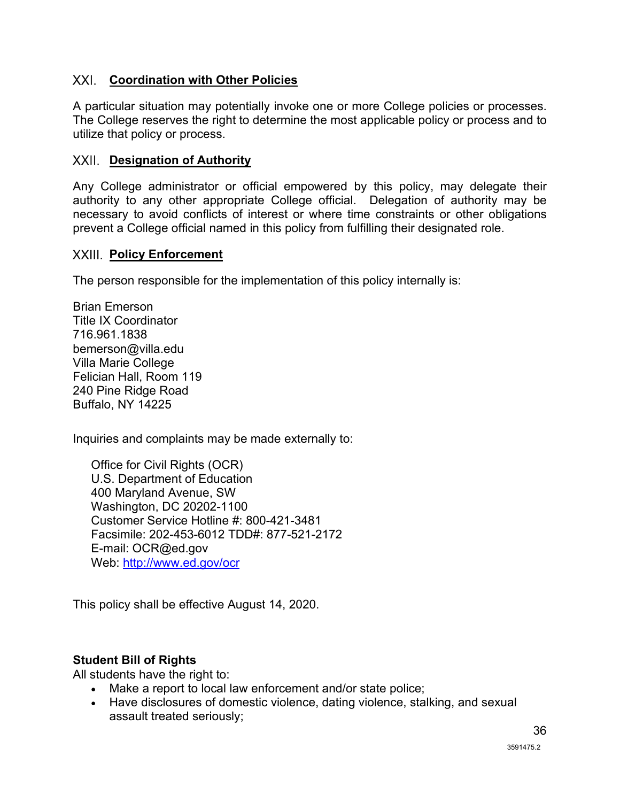### **Coordination with Other Policies**

A particular situation may potentially invoke one or more College policies or processes. The College reserves the right to determine the most applicable policy or process and to utilize that policy or process.

#### <span id="page-36-0"></span>**XXII.** Designation of Authority

Any College administrator or official empowered by this policy, may delegate their authority to any other appropriate College official. Delegation of authority may be necessary to avoid conflicts of interest or where time constraints or other obligations prevent a College official named in this policy from fulfilling their designated role.

#### <span id="page-36-1"></span>**XXIII.** Policy Enforcement

The person responsible for the implementation of this policy internally is:

Brian Emerson Title IX Coordinator 716.961.1838 bemerson@villa.edu Villa Marie College Felician Hall, Room 119 240 Pine Ridge Road Buffalo, NY 14225

Inquiries and complaints may be made externally to:

Office for Civil Rights (OCR) U.S. Department of Education 400 Maryland Avenue, SW Washington, DC 20202-1100 Customer Service Hotline #: 800-421-3481 Facsimile: 202-453-6012 TDD#: 877-521-2172 E-mail: OCR@ed.gov Web: http://www.ed.gov/ocr

This policy shall be effective August 14, 2020.

#### **Student Bill of Rights**

All students have the right to:

- Make a report to local law enforcement and/or state police;
- Have disclosures of domestic violence, dating violence, stalking, and sexual assault treated seriously;